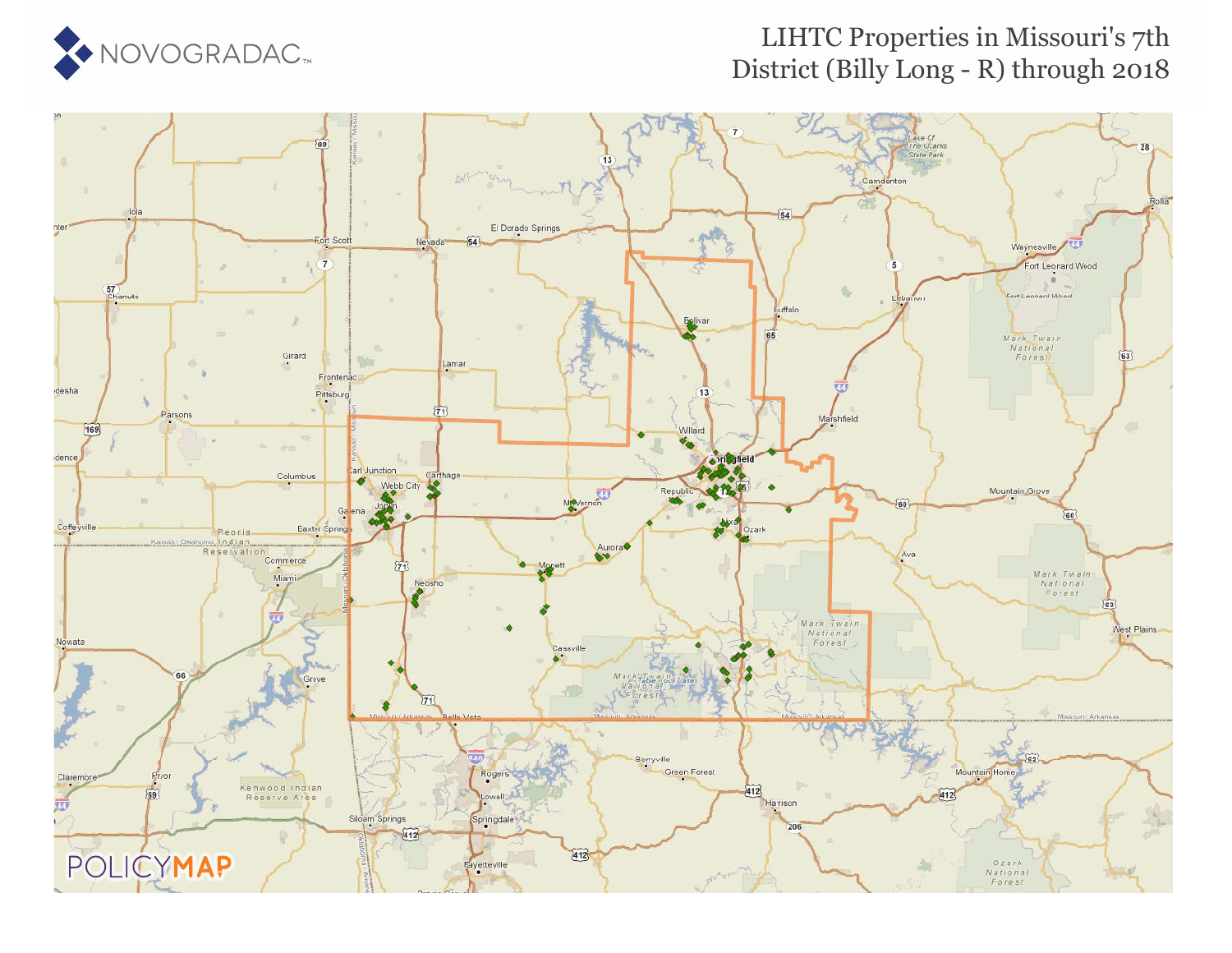

#### LIHTC Properties in Missouri's 7th District (Billy Long - R) through 2018

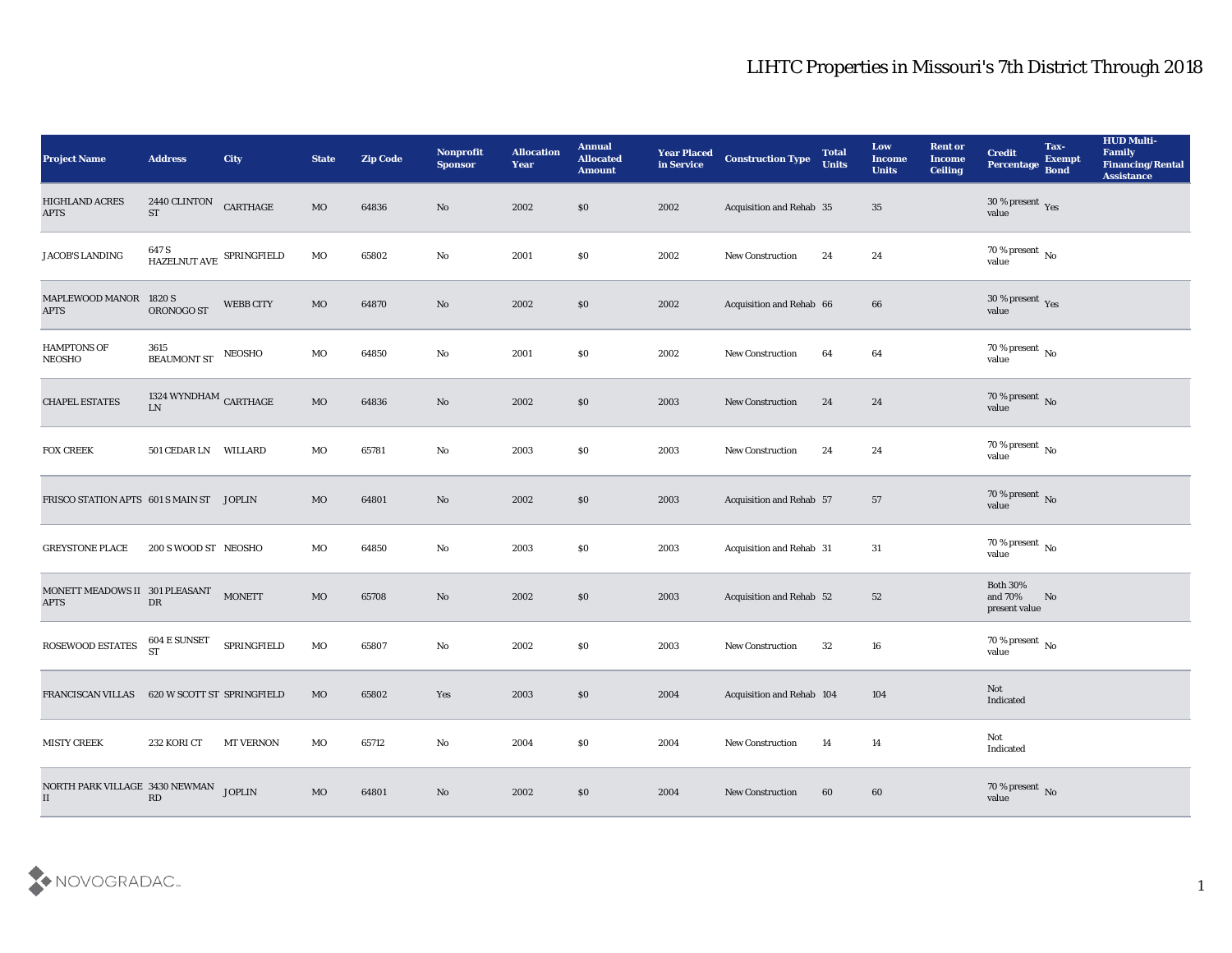| <b>Project Name</b>                          | <b>Address</b>                      | City             | <b>State</b> | <b>Zip Code</b> | Nonprofit<br><b>Sponsor</b> | <b>Allocation</b><br>Year | <b>Annual</b><br><b>Allocated</b><br><b>Amount</b> | <b>Year Placed</b><br>in Service | <b>Construction Type</b>  | <b>Total</b><br><b>Units</b> | Low<br><b>Income</b><br><b>Units</b> | <b>Rent or</b><br><b>Income</b><br><b>Ceiling</b> | <b>Credit</b><br>Percentage                 | Tax-<br><b>Exempt</b><br><b>Bond</b> | <b>HUD Multi-</b><br>Family<br><b>Financing/Rental</b><br><b>Assistance</b> |
|----------------------------------------------|-------------------------------------|------------------|--------------|-----------------|-----------------------------|---------------------------|----------------------------------------------------|----------------------------------|---------------------------|------------------------------|--------------------------------------|---------------------------------------------------|---------------------------------------------|--------------------------------------|-----------------------------------------------------------------------------|
| HIGHLAND ACRES<br><b>APTS</b>                | 2440 CLINTON<br><b>ST</b>           | CARTHAGE         | $_{\rm MO}$  | 64836           | No                          | 2002                      | $\$0$                                              | 2002                             | Acquisition and Rehab 35  |                              | 35                                   |                                                   | $30\,\%$ present $\,$ Yes value             |                                      |                                                                             |
| JACOB'S LANDING                              | 647 S<br>HAZELNUT AVE SPRINGFIELD   |                  | MO           | 65802           | No                          | 2001                      | $\$0$                                              | 2002                             | <b>New Construction</b>   | 24                           | 24                                   |                                                   | $70\,\%$ present $\,$ No value              |                                      |                                                                             |
| MAPLEWOOD MANOR 1820 S<br><b>APTS</b>        | ORONOGO ST                          | <b>WEBB CITY</b> | $_{\rm MO}$  | 64870           | No                          | 2002                      | \$0                                                | 2002                             | Acquisition and Rehab 66  |                              | 66                                   |                                                   | $30\,\%$ present $\,$ Yes value             |                                      |                                                                             |
| <b>HAMPTONS OF</b><br>NEOSHO                 | 3615<br><b>BEAUMONT ST</b>          | <b>NEOSHO</b>    | $\rm MO$     | 64850           | $\rm\thinspace No$          | 2001                      | $\$0$                                              | 2002                             | New Construction          | 64                           | 64                                   |                                                   | $70\,\%$ present $\,$ No value              |                                      |                                                                             |
| <b>CHAPEL ESTATES</b>                        | 1324 WYNDHAM $\,$ CARTHAGE<br>LN    |                  | $_{\rm MO}$  | 64836           | No                          | 2002                      | \$0                                                | 2003                             | <b>New Construction</b>   | 24                           | 24                                   |                                                   | $70\,\%$ present $\,$ No value              |                                      |                                                                             |
| <b>FOX CREEK</b>                             | 501 CEDAR LN WILLARD                |                  | MO           | 65781           | No                          | 2003                      | \$0                                                | 2003                             | <b>New Construction</b>   | 24                           | 24                                   |                                                   | $70\,\%$ present $\,$ No value              |                                      |                                                                             |
| FRISCO STATION APTS 601 S MAIN ST JOPLIN     |                                     |                  | MO           | 64801           | No                          | 2002                      | \$0                                                | 2003                             | Acquisition and Rehab 57  |                              | 57                                   |                                                   | $70\,\%$ present $\,$ No value              |                                      |                                                                             |
| <b>GREYSTONE PLACE</b>                       | 200 S WOOD ST NEOSHO                |                  | MO           | 64850           | No                          | 2003                      | \$0                                                | 2003                             | Acquisition and Rehab 31  |                              | 31                                   |                                                   | 70 % present $\,$ No $\,$<br>value          |                                      |                                                                             |
| MONETT MEADOWS II 301 PLEASANT<br>$\rm APTS$ | DR                                  | <b>MONETT</b>    | $_{\rm MO}$  | 65708           | No                          | 2002                      | \$0                                                | 2003                             | Acquisition and Rehab 52  |                              | 52                                   |                                                   | <b>Both 30%</b><br>and 70%<br>present value | No                                   |                                                                             |
| ROSEWOOD ESTATES                             | $604\to \hbox{SUNSET}$<br><b>ST</b> | SPRINGFIELD      | MO           | 65807           | No                          | 2002                      | \$0                                                | 2003                             | <b>New Construction</b>   | 32                           | 16                                   |                                                   | $70\,\%$ present $\,$ No value              |                                      |                                                                             |
| FRANCISCAN VILLAS 620 W SCOTT ST SPRINGFIELD |                                     |                  | MO           | 65802           | Yes                         | 2003                      | \$0                                                | 2004                             | Acquisition and Rehab 104 |                              | 104                                  |                                                   | Not<br>Indicated                            |                                      |                                                                             |
| MISTY CREEK                                  | 232 KORI CT                         | <b>MT VERNON</b> | $_{\rm MO}$  | 65712           | $\mathbf {No}$              | 2004                      | $\$0$                                              | 2004                             | New Construction          | 14                           | 14                                   |                                                   | Not<br>Indicated                            |                                      |                                                                             |
| NORTH PARK VILLAGE 3430 NEWMAN<br>II         | $\mathbf{R}\mathbf{D}$              | <b>JOPLIN</b>    | MO           | 64801           | $\rm\thinspace No$          | 2002                      | \$0                                                | 2004                             | <b>New Construction</b>   | 60                           | $60\,$                               |                                                   | $70\,\%$ present $\,$ No value              |                                      |                                                                             |

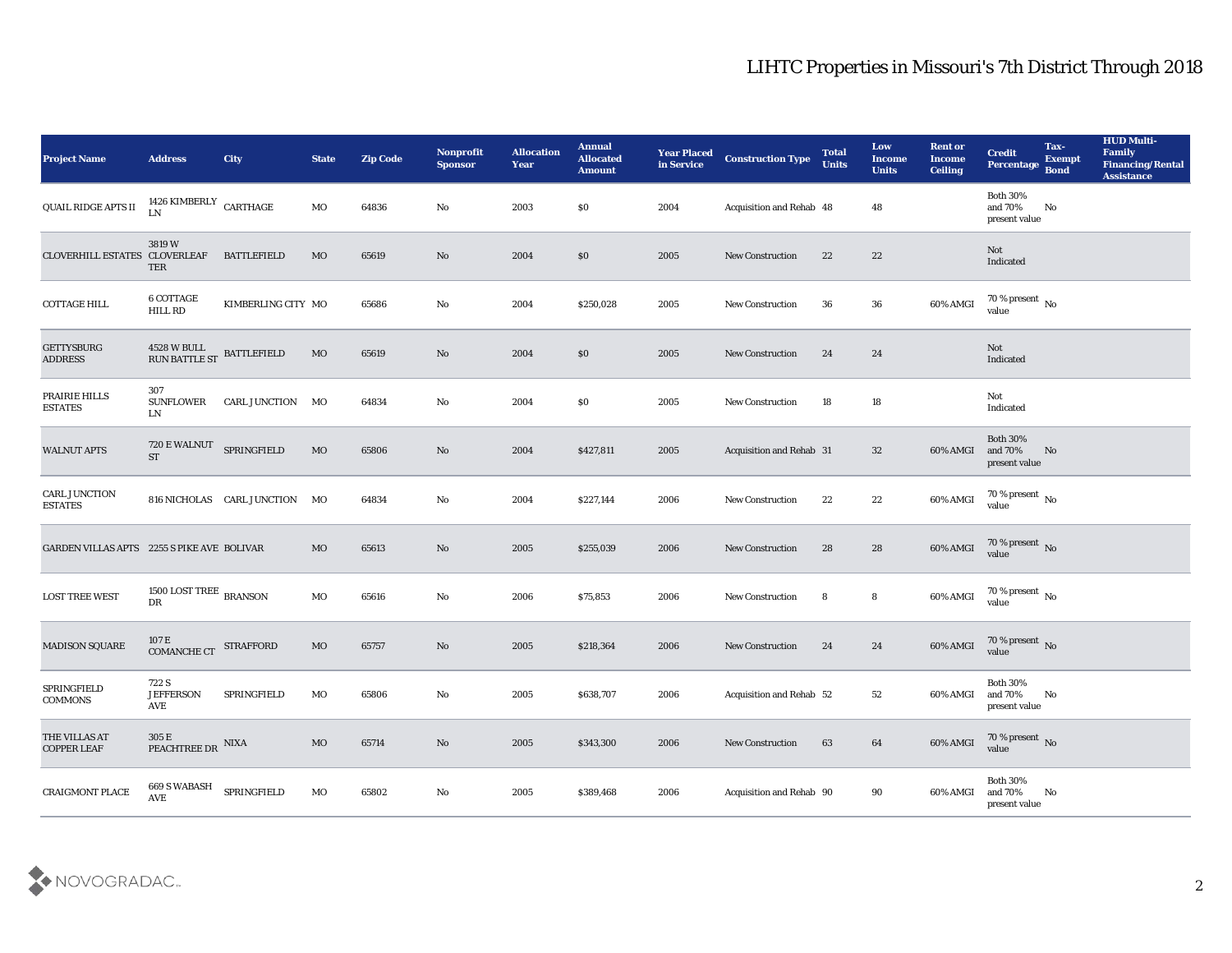| <b>Project Name</b>                        | <b>Address</b>                                | City                          | <b>State</b> | <b>Zip Code</b> | Nonprofit<br><b>Sponsor</b> | <b>Allocation</b><br><b>Year</b> | <b>Annual</b><br><b>Allocated</b><br><b>Amount</b> | <b>Year Placed</b><br>in Service | <b>Construction Type</b> | <b>Total</b><br><b>Units</b> | Low<br><b>Income</b><br><b>Units</b> | <b>Rent or</b><br><b>Income</b><br><b>Ceiling</b> | <b>Credit</b><br>Percentage                 | Tax-<br><b>Exempt</b><br><b>Bond</b> | <b>HUD Multi-</b><br>Family<br><b>Financing/Rental</b><br><b>Assistance</b> |
|--------------------------------------------|-----------------------------------------------|-------------------------------|--------------|-----------------|-----------------------------|----------------------------------|----------------------------------------------------|----------------------------------|--------------------------|------------------------------|--------------------------------------|---------------------------------------------------|---------------------------------------------|--------------------------------------|-----------------------------------------------------------------------------|
| QUAIL RIDGE APTS II                        | 1426 KIMBERLY $\rm CARTHAGE$<br>LN            |                               | MO           | 64836           | No                          | 2003                             | $\$0$                                              | 2004                             | Acquisition and Rehab 48 |                              | 48                                   |                                                   | <b>Both 30%</b><br>and 70%<br>present value | No                                   |                                                                             |
| CLOVERHILL ESTATES CLOVERLEAF              | 3819W<br>TER                                  | <b>BATTLEFIELD</b>            | MO           | 65619           | No                          | 2004                             | \$0                                                | 2005                             | <b>New Construction</b>  | 22                           | 22                                   |                                                   | <b>Not</b><br>Indicated                     |                                      |                                                                             |
| <b>COTTAGE HILL</b>                        | 6 COTTAGE<br>HILL RD                          | KIMBERLING CITY MO            |              | 65686           | No                          | 2004                             | \$250,028                                          | 2005                             | <b>New Construction</b>  | 36                           | 36                                   | 60% AMGI                                          | $70\,\%$ present $\,$ No value              |                                      |                                                                             |
| <b>GETTYSBURG</b><br><b>ADDRESS</b>        | 4528 W BULL<br>RUN BATTLE ST                  | <b>BATTLEFIELD</b>            | MO           | 65619           | No                          | 2004                             | \$0                                                | 2005                             | <b>New Construction</b>  | 24                           | 24                                   |                                                   | Not<br>Indicated                            |                                      |                                                                             |
| PRAIRIE HILLS<br><b>ESTATES</b>            | 307<br><b>SUNFLOWER</b><br>LN                 | CARL JUNCTION MO              |              | 64834           | $\rm\thinspace No$          | 2004                             | $\$0$                                              | 2005                             | <b>New Construction</b>  | 18                           | 18                                   |                                                   | Not<br>Indicated                            |                                      |                                                                             |
| <b>WALNUT APTS</b>                         | 720 E WALNUT SPRINGFIELD<br><b>ST</b>         |                               | <b>MO</b>    | 65806           | No                          | 2004                             | \$427,811                                          | 2005                             | Acquisition and Rehab 31 |                              | 32                                   | 60% AMGI                                          | <b>Both 30%</b><br>and 70%<br>present value | No                                   |                                                                             |
| CARL JUNCTION<br><b>ESTATES</b>            |                                               | 816 NICHOLAS CARL JUNCTION MO |              | 64834           | No                          | 2004                             | \$227,144                                          | 2006                             | <b>New Construction</b>  | 22                           | 22                                   | 60% AMGI                                          | $\frac{70\%}{value}$ No                     |                                      |                                                                             |
| GARDEN VILLAS APTS 2255 S PIKE AVE BOLIVAR |                                               |                               | MO           | 65613           | No                          | 2005                             | \$255,039                                          | 2006                             | <b>New Construction</b>  | 28                           | 28                                   | 60% AMGI                                          | $70\%$ present No<br>value                  |                                      |                                                                             |
| <b>LOST TREE WEST</b>                      | $1500$ LOST TREE $_{\rm BRANSON}$<br>DR       |                               | MO           | 65616           | No                          | 2006                             | \$75,853                                           | 2006                             | <b>New Construction</b>  | 8                            | 8                                    | 60% AMGI                                          | $70\,\%$ present $\,$ No $\,$ value         |                                      |                                                                             |
| <b>MADISON SQUARE</b>                      | $107\,\mathrm{E}$ COMANCHE CT                 | <b>STRAFFORD</b>              | $_{\rm MO}$  | 65757           | No                          | 2005                             | \$218,364                                          | 2006                             | <b>New Construction</b>  | 24                           | 24                                   | 60% AMGI                                          | $70\,\%$ present $\,$ No value              |                                      |                                                                             |
| SPRINGFIELD<br><b>COMMONS</b>              | 722 S<br><b>JEFFERSON</b><br>AVE              | SPRINGFIELD                   | MO           | 65806           | No                          | 2005                             | \$638,707                                          | 2006                             | Acquisition and Rehab 52 |                              | 52                                   | 60% AMGI and 70%                                  | <b>Both 30%</b><br>present value            | No                                   |                                                                             |
| THE VILLAS AT<br><b>COPPER LEAF</b>        | $305$ E $$\rm{PLXA}$$                         |                               | $\rm MO$     | 65714           | $\rm\thinspace No$          | 2005                             | \$343,300                                          | 2006                             | New Construction         | 63                           | $\bf{64}$                            | 60% AMGI                                          | $70\,\%$ present $\,$ No value              |                                      |                                                                             |
| CRAIGMONT PLACE                            | 669 S WABASH<br>$\operatorname{\mathbf{AVE}}$ | SPRINGFIELD                   | $_{\rm MO}$  | 65802           | $\mathbf {No}$              | 2005                             | \$389,468                                          | 2006                             | Acquisition and Rehab 90 |                              | 90                                   | 60% AMGI                                          | Both $30\%$<br>and 70%<br>present value     | No                                   |                                                                             |

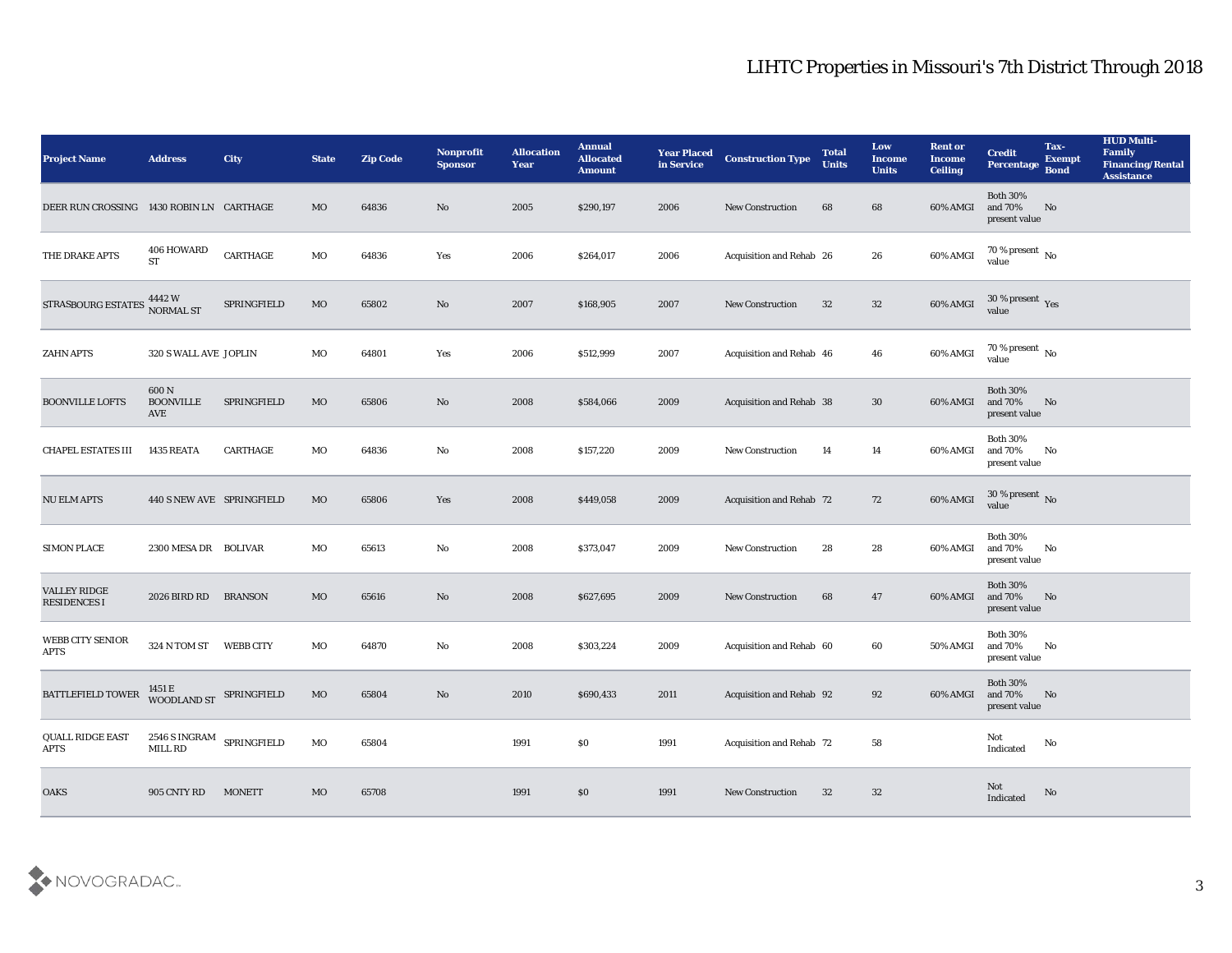| <b>Project Name</b>                        | <b>Address</b>                                             | City                             | <b>State</b> | <b>Zip Code</b> | Nonprofit<br><b>Sponsor</b> | <b>Allocation</b><br><b>Year</b> | <b>Annual</b><br><b>Allocated</b><br><b>Amount</b> | <b>Year Placed</b><br>in Service | <b>Construction Type</b> | <b>Total</b><br><b>Units</b> | Low<br><b>Income</b><br><b>Units</b> | <b>Rent or</b><br>Income<br><b>Ceiling</b> | <b>Credit</b><br>Percentage                 | Tax-<br><b>Exempt</b><br><b>Bond</b> | <b>HUD Multi-</b><br>Family<br><b>Financing/Rental</b><br><b>Assistance</b> |
|--------------------------------------------|------------------------------------------------------------|----------------------------------|--------------|-----------------|-----------------------------|----------------------------------|----------------------------------------------------|----------------------------------|--------------------------|------------------------------|--------------------------------------|--------------------------------------------|---------------------------------------------|--------------------------------------|-----------------------------------------------------------------------------|
| DEER RUN CROSSING 1430 ROBIN LN CARTHAGE   |                                                            |                                  | MO           | 64836           | No                          | 2005                             | \$290,197                                          | 2006                             | <b>New Construction</b>  | 68                           | 68                                   | 60% AMGI                                   | <b>Both 30%</b><br>and 70%<br>present value | No                                   |                                                                             |
| THE DRAKE APTS                             | 406 HOWARD<br><b>ST</b>                                    | $\ensuremath{\mathsf{CARTHAGE}}$ | MO           | 64836           | Yes                         | 2006                             | \$264,017                                          | 2006                             | Acquisition and Rehab 26 |                              | 26                                   | 60% AMGI                                   | $70\,\%$ present $\,$ No value              |                                      |                                                                             |
| STRASBOURG ESTATES                         | 4442 W<br>NORMAL ST                                        | SPRINGFIELD                      | $_{\rm MO}$  | 65802           | No                          | 2007                             | \$168,905                                          | 2007                             | <b>New Construction</b>  | 32                           | 32                                   | 60% AMGI                                   | $30\,\%$ present $\,$ Yes value             |                                      |                                                                             |
| <b>ZAHN APTS</b>                           | 320 S WALL AVE JOPLIN                                      |                                  | MO           | 64801           | Yes                         | 2006                             | \$512,999                                          | 2007                             | Acquisition and Rehab 46 |                              | 46                                   | 60% AMGI                                   | $70\,\%$ present $\,$ No value              |                                      |                                                                             |
| <b>BOONVILLE LOFTS</b>                     | 600 N<br><b>BOONVILLE</b><br>AVE                           | SPRINGFIELD                      | MO           | 65806           | No                          | 2008                             | \$584,066                                          | 2009                             | Acquisition and Rehab 38 |                              | 30                                   | 60% AMGI                                   | <b>Both 30%</b><br>and 70%<br>present value | No                                   |                                                                             |
| <b>CHAPEL ESTATES III</b>                  | 1435 REATA                                                 | <b>CARTHAGE</b>                  | MO           | 64836           | No                          | 2008                             | \$157,220                                          | 2009                             | <b>New Construction</b>  | 14                           | 14                                   | 60% AMGI                                   | <b>Both 30%</b><br>and 70%<br>present value | No                                   |                                                                             |
| <b>NU ELM APTS</b>                         | 440 S NEW AVE SPRINGFIELD                                  |                                  | MO           | 65806           | Yes                         | 2008                             | \$449,058                                          | 2009                             | Acquisition and Rehab 72 |                              | 72                                   | 60% AMGI                                   | $30\,\%$ present $\,$ No value              |                                      |                                                                             |
| <b>SIMON PLACE</b>                         | 2300 MESA DR BOLIVAR                                       |                                  | МO           | 65613           | No                          | 2008                             | \$373,047                                          | 2009                             | <b>New Construction</b>  | 28                           | 28                                   | 60% AMGI                                   | <b>Both 30%</b><br>and 70%<br>present value | No                                   |                                                                             |
| <b>VALLEY RIDGE</b><br><b>RESIDENCES I</b> | 2026 BIRD RD                                               | <b>BRANSON</b>                   | MO           | 65616           | No                          | 2008                             | \$627,695                                          | 2009                             | <b>New Construction</b>  | 68                           | 47                                   | 60% AMGI                                   | <b>Both 30%</b><br>and 70%<br>present value | No                                   |                                                                             |
| WEBB CITY SENIOR<br><b>APTS</b>            | 324 N TOM ST WEBB CITY                                     |                                  | MO           | 64870           | No                          | 2008                             | \$303,224                                          | 2009                             | Acquisition and Rehab 60 |                              | 60                                   | 50% AMGI                                   | <b>Both 30%</b><br>and 70%<br>present value | No                                   |                                                                             |
| <b>BATTLEFIELD TOWER</b>                   | WOODLAND ST SPRINGFIELD                                    |                                  | MO           | 65804           | No                          | 2010                             | \$690,433                                          | 2011                             | Acquisition and Rehab 92 |                              | 92                                   | 60% AMGI and 70%                           | <b>Both 30%</b><br>present value            | No                                   |                                                                             |
| QUALL RIDGE EAST<br>APTS                   | $2546$ S $\,$ INGRAM $\,$ SPRINGFIELD $\,$ MILL ${\rm RD}$ |                                  | $_{\rm MO}$  | 65804           |                             | 1991                             | $\$0$                                              | 1991                             | Acquisition and Rehab 72 |                              | ${\bf 58}$                           |                                            | Not<br>$\operatorname{Indicated}$           | No                                   |                                                                             |
| OAKS                                       | 905 CNTY RD                                                | <b>MONETT</b>                    | MO           | 65708           |                             | 1991                             | $\$0$                                              | 1991                             | <b>New Construction</b>  | 32                           | $32\,$                               |                                            | $\operatorname{\bf Not}$<br>Indicated       | No                                   |                                                                             |

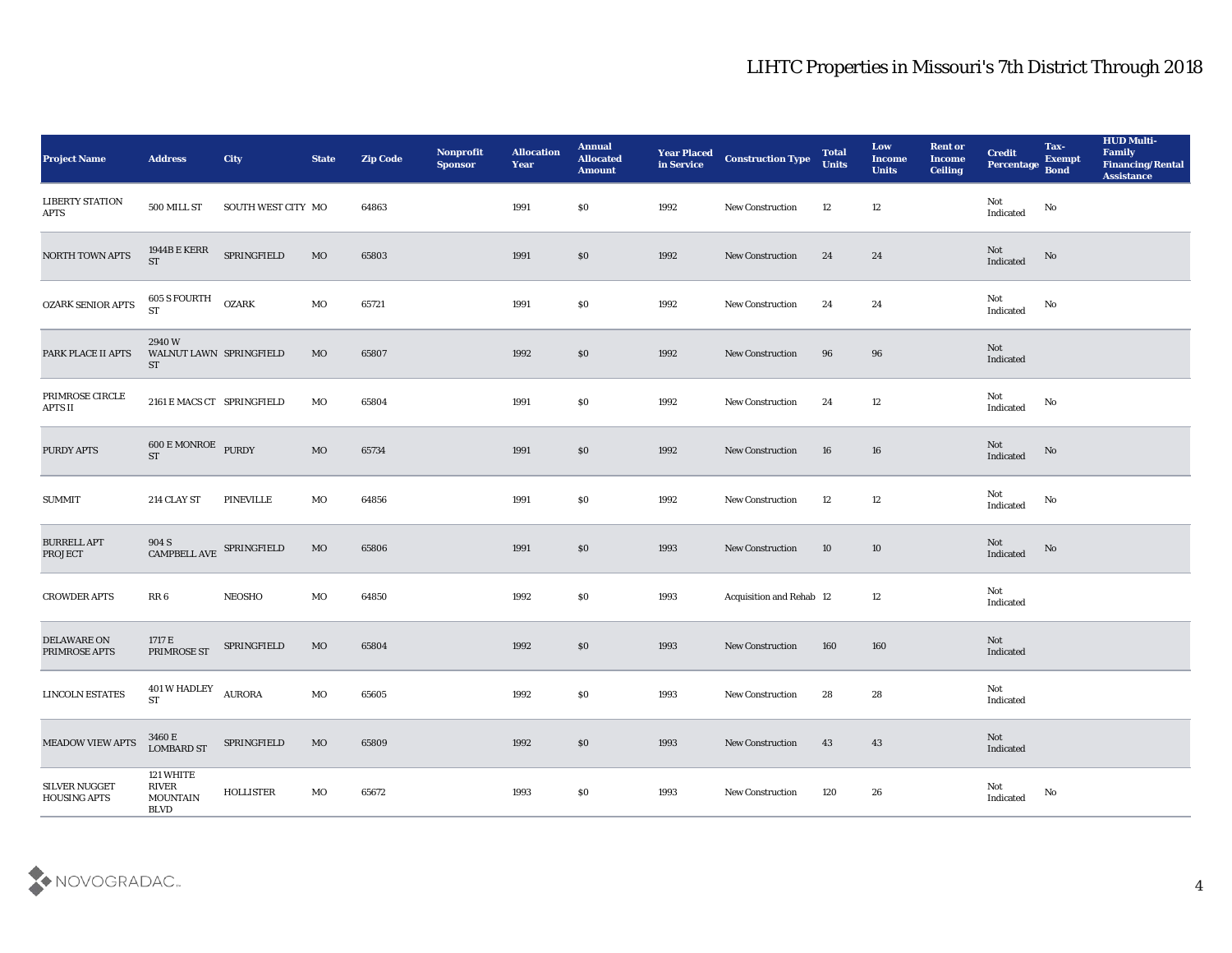| <b>Project Name</b>                   | <b>Address</b>                                            | <b>City</b>        | <b>State</b> | <b>Zip Code</b> | Nonprofit<br><b>Sponsor</b> | <b>Allocation</b><br>Year | <b>Annual</b><br><b>Allocated</b><br><b>Amount</b> | <b>Year Placed<br/>in Service</b> | <b>Construction Type</b> | <b>Total</b><br><b>Units</b> | Low<br><b>Income</b><br><b>Units</b> | <b>Rent or</b><br><b>Income</b><br><b>Ceiling</b> | <b>Credit</b><br>Percentage Bond  | Tax-<br><b>Exempt</b> | <b>HUD Multi-</b><br>Family<br><b>Financing/Rental</b><br><b>Assistance</b> |
|---------------------------------------|-----------------------------------------------------------|--------------------|--------------|-----------------|-----------------------------|---------------------------|----------------------------------------------------|-----------------------------------|--------------------------|------------------------------|--------------------------------------|---------------------------------------------------|-----------------------------------|-----------------------|-----------------------------------------------------------------------------|
| <b>LIBERTY STATION</b><br><b>APTS</b> | 500 MILL ST                                               | SOUTH WEST CITY MO |              | 64863           |                             | 1991                      | \$0                                                | 1992                              | <b>New Construction</b>  | 12                           | 12                                   |                                                   | Not<br>Indicated                  | $\rm No$              |                                                                             |
| NORTH TOWN APTS                       | 1944B E KERR<br><b>ST</b>                                 | SPRINGFIELD        | MO           | 65803           |                             | 1991                      | \$0                                                | 1992                              | <b>New Construction</b>  | 24                           | 24                                   |                                                   | Not<br>Indicated                  | No                    |                                                                             |
| OZARK SENIOR APTS                     | 605 S FOURTH<br><b>ST</b>                                 | <b>OZARK</b>       | MO           | 65721           |                             | 1991                      | \$0                                                | 1992                              | New Construction         | 24                           | 24                                   |                                                   | Not<br>Indicated                  | No                    |                                                                             |
| PARK PLACE II APTS                    | 2940W<br>WALNUT LAWN SPRINGFIELD<br>ST                    |                    | <b>MO</b>    | 65807           |                             | 1992                      | \$0                                                | 1992                              | <b>New Construction</b>  | 96                           | 96                                   |                                                   | Not<br>Indicated                  |                       |                                                                             |
| PRIMROSE CIRCLE<br>APTS II            | 2161 E MACS CT SPRINGFIELD                                |                    | MO           | 65804           |                             | 1991                      | \$0                                                | 1992                              | New Construction         | 24                           | 12                                   |                                                   | Not<br>Indicated                  | No                    |                                                                             |
| PURDY APTS                            | <b>600 E MONROE</b> PURDY<br>$ST$                         |                    | MO           | 65734           |                             | 1991                      | \$0                                                | 1992                              | <b>New Construction</b>  | 16                           | 16                                   |                                                   | Not<br>Indicated                  | No                    |                                                                             |
| <b>SUMMIT</b>                         | 214 CLAY ST                                               | <b>PINEVILLE</b>   | MO           | 64856           |                             | 1991                      | \$0                                                | 1992                              | <b>New Construction</b>  | 12                           | 12                                   |                                                   | Not<br>$\operatorname{Indicated}$ | No                    |                                                                             |
| <b>BURRELL APT</b><br><b>PROJECT</b>  | $904$ S $$\sf{CRINGF}$ $$\sf{SPRINGF}$ LED $$\sf{CRINGF}$ |                    | MO           | 65806           |                             | 1991                      | \$0                                                | 1993                              | <b>New Construction</b>  | 10                           | 10                                   |                                                   | Not<br>Indicated                  | No                    |                                                                             |
| <b>CROWDER APTS</b>                   | RR 6                                                      | <b>NEOSHO</b>      | MO           | 64850           |                             | 1992                      | \$0                                                | 1993                              | Acquisition and Rehab 12 |                              | 12                                   |                                                   | Not<br>Indicated                  |                       |                                                                             |
| DELAWARE ON<br>PRIMROSE APTS          | 1717 E<br>PRIMROSE ST                                     | SPRINGFIELD        | MO           | 65804           |                             | 1992                      | \$0                                                | 1993                              | <b>New Construction</b>  | 160                          | 160                                  |                                                   | Not<br>Indicated                  |                       |                                                                             |
| <b>LINCOLN ESTATES</b>                | 401 W HADLEY<br><b>ST</b>                                 | <b>AURORA</b>      | MO           | 65605           |                             | 1992                      | \$0                                                | 1993                              | <b>New Construction</b>  | 28                           | 28                                   |                                                   | Not<br>Indicated                  |                       |                                                                             |
| <b>MEADOW VIEW APTS</b>               | 3460 E<br>LOMBARD ST                                      | SPRINGFIELD        | MO           | 65809           |                             | 1992                      | $\$0$                                              | 1993                              | New Construction         | 43                           | 43                                   |                                                   | Not<br>Indicated                  |                       |                                                                             |
| <b>SILVER NUGGET</b><br>HOUSING APTS  | 121 WHITE<br>RIVER<br><b>MOUNTAIN</b><br><b>BLVD</b>      | <b>HOLLISTER</b>   | MO           | 65672           |                             | 1993                      | \$0                                                | 1993                              | New Construction         | 120                          | 26                                   |                                                   | Not<br>$\operatorname{Indicated}$ | No                    |                                                                             |

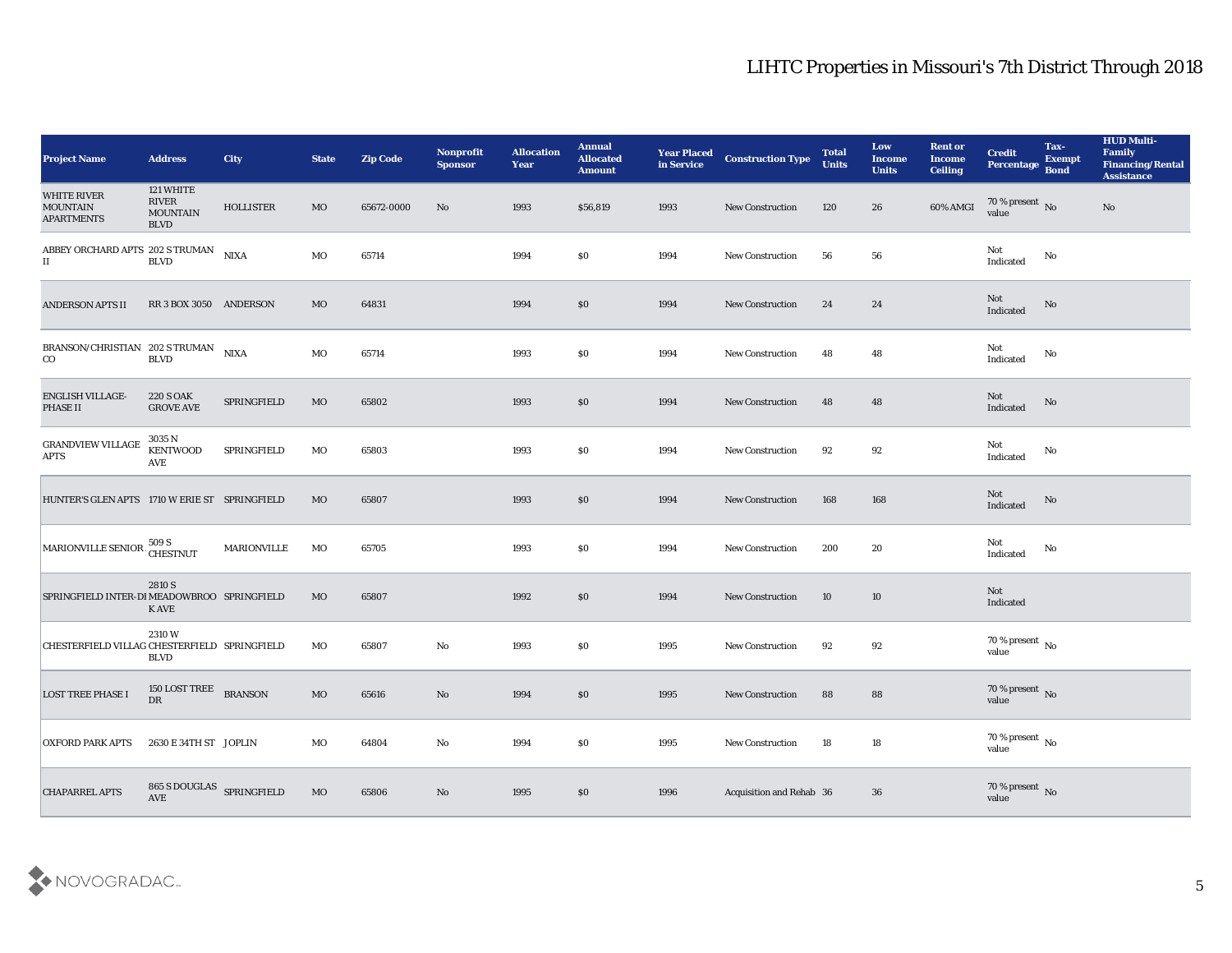| <b>Project Name</b>                                 | <b>Address</b>                                       | City               | <b>State</b> | <b>Zip Code</b> | Nonprofit<br><b>Sponsor</b> | <b>Allocation</b><br><b>Year</b> | <b>Annual</b><br><b>Allocated</b><br><b>Amount</b> | <b>Year Placed</b><br>in Service | <b>Construction Type</b> | <b>Total</b><br><b>Units</b> | Low<br><b>Income</b><br><b>Units</b> | <b>Rent or</b><br><b>Income</b><br><b>Ceiling</b> | <b>Credit</b><br>Percentage Bond   | Tax-<br><b>Exempt</b> | <b>HUD Multi-</b><br>Family<br><b>Financing/Rental</b><br><b>Assistance</b> |
|-----------------------------------------------------|------------------------------------------------------|--------------------|--------------|-----------------|-----------------------------|----------------------------------|----------------------------------------------------|----------------------------------|--------------------------|------------------------------|--------------------------------------|---------------------------------------------------|------------------------------------|-----------------------|-----------------------------------------------------------------------------|
| WHITE RIVER<br><b>MOUNTAIN</b><br><b>APARTMENTS</b> | 121 WHITE<br>RIVER<br><b>MOUNTAIN</b><br><b>BLVD</b> | <b>HOLLISTER</b>   | <b>MO</b>    | 65672-0000      | No                          | 1993                             | \$56,819                                           | 1993                             | <b>New Construction</b>  | 120                          | 26                                   | 60% AMGI                                          | $70\%$ present No<br>value         |                       | No                                                                          |
| ABBEY ORCHARD APTS 202 S TRUMAN<br>$\rm II$         | <b>BLVD</b>                                          | <b>NIXA</b>        | MO           | 65714           |                             | 1994                             | \$0                                                | 1994                             | <b>New Construction</b>  | 56                           | 56                                   |                                                   | Not<br>Indicated                   | No                    |                                                                             |
| <b>ANDERSON APTS II</b>                             | RR 3 BOX 3050 ANDERSON                               |                    | MO           | 64831           |                             | 1994                             | \$0                                                | 1994                             | <b>New Construction</b>  | 24                           | 24                                   |                                                   | Not<br>Indicated                   | No                    |                                                                             |
| BRANSON/CHRISTIAN 202 S TRUMAN<br>$\rm{CO}$         | <b>BLVD</b>                                          | <b>NIXA</b>        | MO           | 65714           |                             | 1993                             | \$0                                                | 1994                             | <b>New Construction</b>  | 48                           | 48                                   |                                                   | Not<br>Indicated                   | No                    |                                                                             |
| <b>ENGLISH VILLAGE-</b><br>PHASE II                 | <b>220 S OAK</b><br><b>GROVE AVE</b>                 | SPRINGFIELD        | MO           | 65802           |                             | 1993                             | \$0                                                | 1994                             | <b>New Construction</b>  | 48                           | 48                                   |                                                   | Not<br>Indicated                   | No                    |                                                                             |
| <b>GRANDVIEW VILLAGE</b><br>$\rm APTS$              | 3035 N<br><b>KENTWOOD</b><br>AVE                     | SPRINGFIELD        | MO           | 65803           |                             | 1993                             | \$0                                                | 1994                             | <b>New Construction</b>  | 92                           | 92                                   |                                                   | Not<br>Indicated                   | No                    |                                                                             |
| HUNTER'S GLEN APTS 1710 W ERIE ST SPRINGFIELD       |                                                      |                    | <b>MO</b>    | 65807           |                             | 1993                             | $\$0$                                              | 1994                             | <b>New Construction</b>  | 168                          | 168                                  |                                                   | Not<br>Indicated                   | No                    |                                                                             |
| MARIONVILLE SENIOR 509 S<br>CHESTNUT                |                                                      | <b>MARIONVILLE</b> | MO           | 65705           |                             | 1993                             | \$0                                                | 1994                             | <b>New Construction</b>  | 200                          | 20                                   |                                                   | Not<br>Indicated                   | No                    |                                                                             |
| SPRINGFIELD INTER-DIMEADOWBROO SPRINGFIELD          | 2810 S<br>K AVE                                      |                    | <b>MO</b>    | 65807           |                             | 1992                             | $\$0$                                              | 1994                             | <b>New Construction</b>  | 10                           | 10                                   |                                                   | Not<br>Indicated                   |                       |                                                                             |
| CHESTERFIELD VILLAG CHESTERFIELD SPRINGFIELD        | 2310W<br><b>BLVD</b>                                 |                    | MO           | 65807           | No                          | 1993                             | $\$0$                                              | 1995                             | <b>New Construction</b>  | 92                           | 92                                   |                                                   | 70 % present $\,$ No $\,$<br>value |                       |                                                                             |
| <b>LOST TREE PHASE I</b>                            | 150 LOST TREE<br>${\rm D}{\rm R}$                    | <b>BRANSON</b>     | MO           | 65616           | No                          | 1994                             | \$0                                                | 1995                             | <b>New Construction</b>  | 88                           | 88                                   |                                                   | 70 % present No<br>value           |                       |                                                                             |
| <b>OXFORD PARK APTS</b>                             | 2630 E 34TH ST JOPLIN                                |                    | $_{\rm MO}$  | 64804           | $\mathbf {No}$              | 1994                             | $\$0$                                              | 1995                             | New Construction         | 18                           | ${\bf 18}$                           |                                                   | $70\,\%$ present $\,$ No value     |                       |                                                                             |
| <b>CHAPARREL APTS</b>                               | $865$ S DOUGLAS $$\tt SPRINGFIED$                    |                    | $_{\rm MO}$  | 65806           | ${\bf No}$                  | 1995                             | $\$0$                                              | 1996                             | Acquisition and Rehab 36 |                              | 36                                   |                                                   | $70\,\%$ present $\,$ No value     |                       |                                                                             |

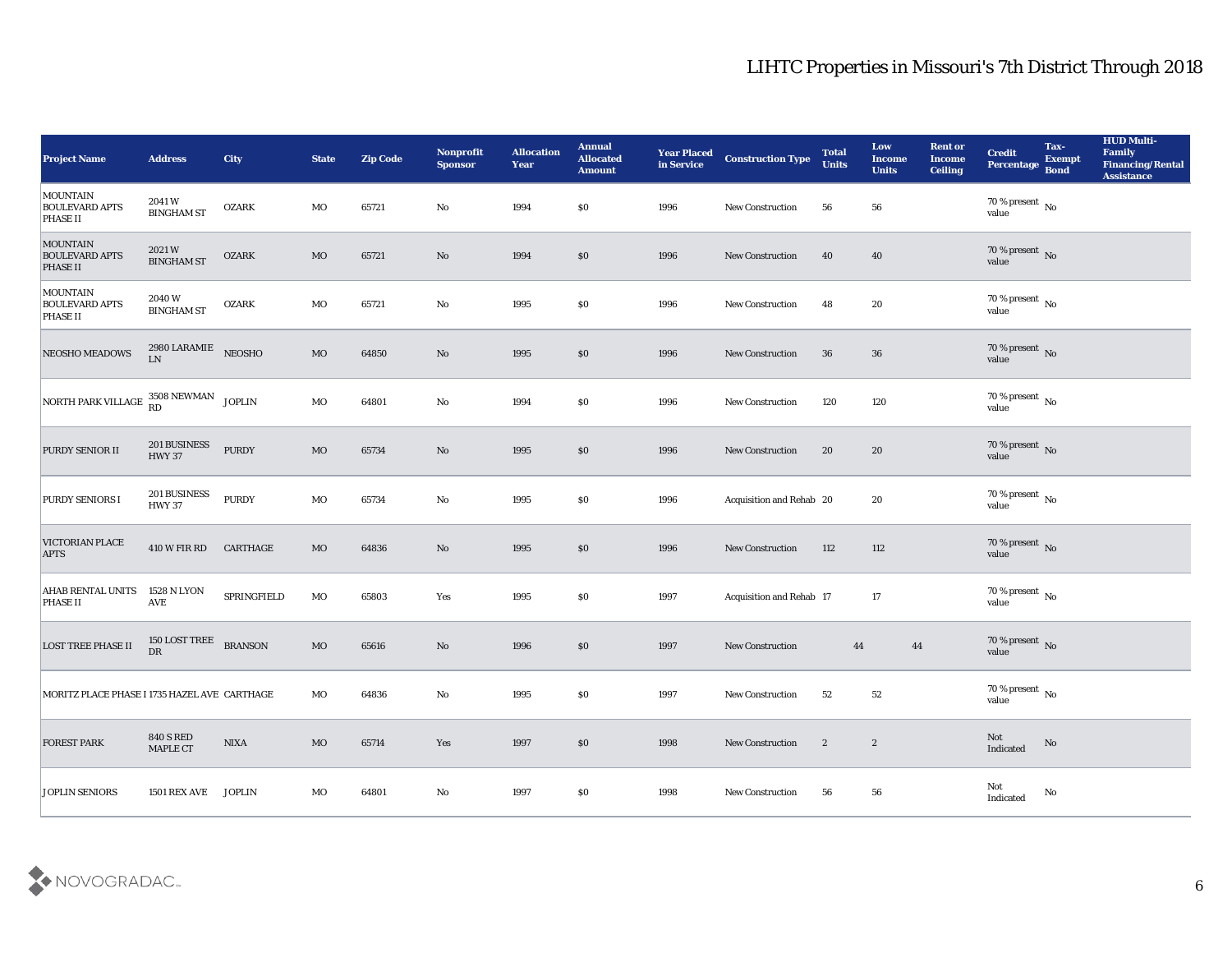| <b>Project Name</b>                                  | <b>Address</b>                      | City            | <b>State</b> | <b>Zip Code</b> | Nonprofit<br><b>Sponsor</b> | <b>Allocation</b><br><b>Year</b> | <b>Annual</b><br><b>Allocated</b><br><b>Amount</b> | <b>Year Placed</b><br>in Service | <b>Construction Type</b> | <b>Total</b><br><b>Units</b> | Low<br><b>Income</b><br><b>Units</b> | <b>Rent or</b><br><b>Income</b><br><b>Ceiling</b> | <b>Credit</b><br>Percentage         | Tax-<br><b>Exempt</b><br><b>Bond</b> | <b>HUD Multi-</b><br>Family<br><b>Financing/Rental</b><br><b>Assistance</b> |
|------------------------------------------------------|-------------------------------------|-----------------|--------------|-----------------|-----------------------------|----------------------------------|----------------------------------------------------|----------------------------------|--------------------------|------------------------------|--------------------------------------|---------------------------------------------------|-------------------------------------|--------------------------------------|-----------------------------------------------------------------------------|
| MOUNTAIN<br><b>BOULEVARD APTS</b><br><b>PHASE II</b> | 2041W<br><b>BINGHAM ST</b>          | <b>OZARK</b>    | MO           | 65721           | No                          | 1994                             | \$0                                                | 1996                             | New Construction         | 56                           | 56                                   |                                                   | 70 % present $\,$ No $\,$<br>value  |                                      |                                                                             |
| <b>MOUNTAIN</b><br><b>BOULEVARD APTS</b><br>PHASE II | 2021W<br><b>BINGHAM ST</b>          | <b>OZARK</b>    | MO           | 65721           | No                          | 1994                             | $\$0$                                              | 1996                             | New Construction         | 40                           | 40                                   |                                                   | $70\,\%$ present $\,$ No $\,$ value |                                      |                                                                             |
| MOUNTAIN<br><b>BOULEVARD APTS</b><br><b>PHASE II</b> | 2040W<br><b>BINGHAM ST</b>          | <b>OZARK</b>    | MO           | 65721           | $\rm\thinspace No$          | 1995                             | \$0                                                | 1996                             | <b>New Construction</b>  | 48                           | 20                                   |                                                   | $70\,\%$ present $\,$ No value      |                                      |                                                                             |
| NEOSHO MEADOWS                                       | $2980$ LARAMIE NEOSHO<br>LN         |                 | MO           | 64850           | No                          | 1995                             | \$0                                                | 1996                             | New Construction         | 36                           | 36                                   |                                                   | $70\,\%$ present $\,$ No value      |                                      |                                                                             |
| NORTH PARK VILLAGE $^{3508}_{RD}$ NEWMAN JOPLIN      |                                     |                 | $_{\rm MO}$  | 64801           | $\mathbf{N}\mathbf{o}$      | 1994                             | \$0                                                | 1996                             | New Construction         | 120                          | 120                                  |                                                   | $70\,\%$ present $\,$ No value      |                                      |                                                                             |
| PURDY SENIOR II                                      | 201 BUSINESS<br><b>HWY 37</b>       | PURDY           | MO           | 65734           | No                          | 1995                             | $\$0$                                              | 1996                             | <b>New Construction</b>  | 20                           | 20                                   |                                                   | $70\,\%$ present $\,$ No value      |                                      |                                                                             |
| <b>PURDY SENIORS I</b>                               | 201 BUSINESS<br><b>HWY 37</b>       | PURDY           | MO           | 65734           | $\mathbf{N}\mathbf{o}$      | 1995                             | \$0                                                | 1996                             | Acquisition and Rehab 20 |                              | 20                                   |                                                   | $70\,\%$ present $\,$ No value      |                                      |                                                                             |
| <b>VICTORIAN PLACE</b><br><b>APTS</b>                | <b>410 W FIR RD</b>                 | CARTHAGE        | MO           | 64836           | No                          | 1995                             | \$0                                                | 1996                             | New Construction         | 112                          | 112                                  |                                                   | $70\,\%$ present $${\rm No}$$ value |                                      |                                                                             |
| <b>AHAB RENTAL UNITS</b><br><b>PHASE II</b>          | 1528 N LYON<br><b>AVE</b>           | SPRINGFIELD     | MO           | 65803           | Yes                         | 1995                             | \$0                                                | 1997                             | Acquisition and Rehab 17 |                              | 17                                   |                                                   | $70\,\%$ present $\,$ No value      |                                      |                                                                             |
| <b>LOST TREE PHASE II</b>                            | 150 LOST TREE<br>${\rm D}{\rm R}$   | <b>BRANSON</b>  | MO           | 65616           | No                          | 1996                             | \$0                                                | 1997                             | <b>New Construction</b>  | 44                           | 44                                   |                                                   | $70\,\%$ present $\,$ No value      |                                      |                                                                             |
| MORITZ PLACE PHASE I 1735 HAZEL AVE CARTHAGE         |                                     |                 | MO           | 64836           | No                          | 1995                             | \$0                                                | 1997                             | <b>New Construction</b>  | 52                           | 52                                   |                                                   | $70\,\%$ present $\,$ No value      |                                      |                                                                             |
| <b>FOREST PARK</b>                                   | <b>840 S RED</b><br><b>MAPLE CT</b> | $\mathbf{NIXA}$ | $_{\rm MO}$  | 65714           | $\mathbf{Yes}$              | 1997                             | $$80$                                              | 1998                             | New Construction         | $\mathbf{2}$                 | $\mathbf{2}$                         |                                                   | Not<br>Indicated                    | $\rm \bf No$                         |                                                                             |
| <b>JOPLIN SENIORS</b>                                | <b>1501 REX AVE</b>                 | <b>JOPLIN</b>   | $_{\rm MO}$  | 64801           | $\mathbf {No}$              | 1997                             | \$0                                                | 1998                             | New Construction         | 56                           | 56                                   |                                                   | Not<br>Indicated                    | $\rm\thinspace No$                   |                                                                             |

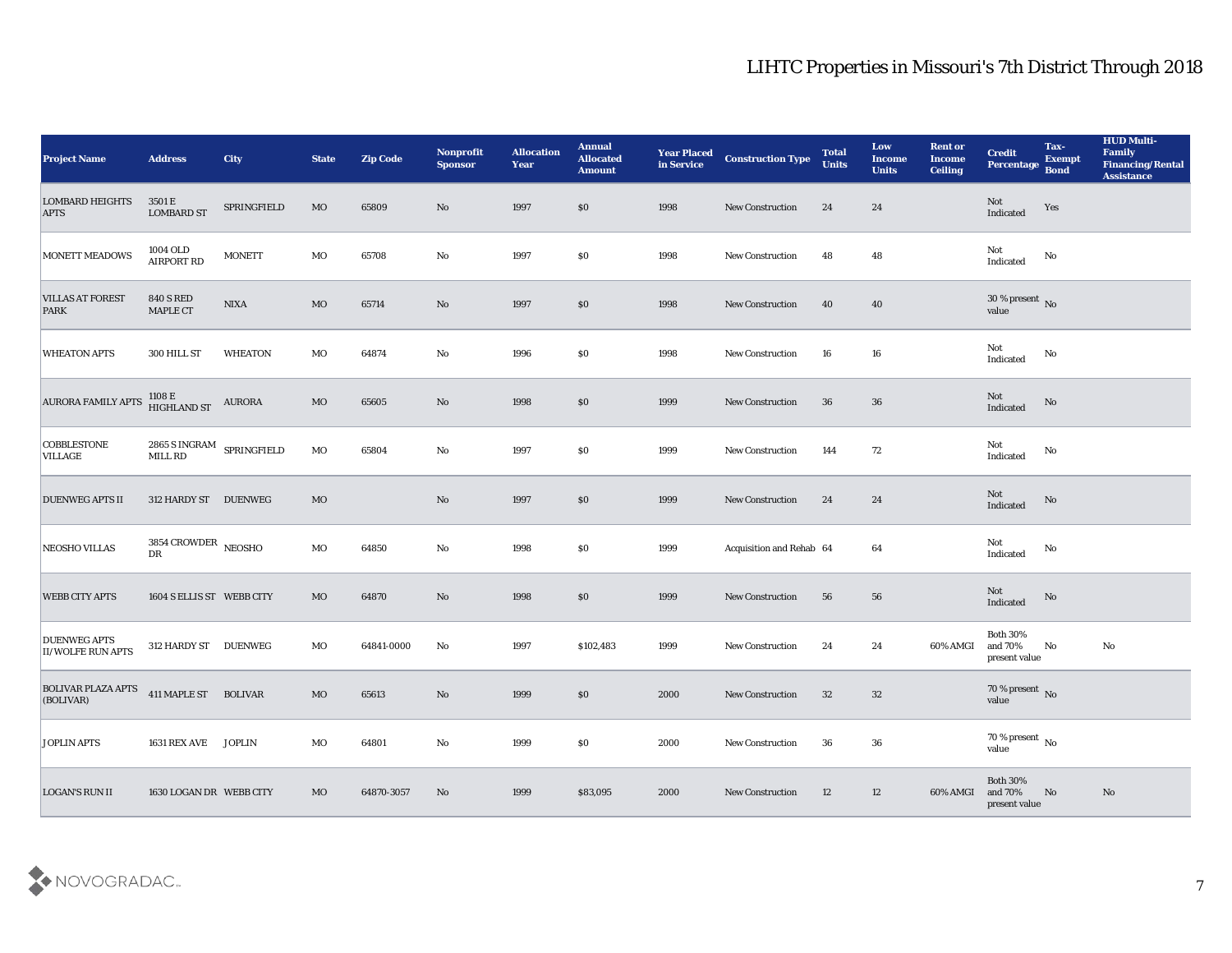| <b>Project Name</b>                             | <b>Address</b>                      | <b>City</b>               | <b>State</b> | <b>Zip Code</b> | Nonprofit<br><b>Sponsor</b> | <b>Allocation</b><br><b>Year</b> | <b>Annual</b><br><b>Allocated</b><br><b>Amount</b> | <b>Year Placed</b><br>in Service | <b>Construction Type</b> | <b>Total</b><br><b>Units</b> | Low<br><b>Income</b><br><b>Units</b> | <b>Rent or</b><br><b>Income</b><br><b>Ceiling</b> | <b>Credit</b><br>Percentage                  | Tax-<br><b>Exempt</b><br><b>Bond</b> | <b>HUD Multi-</b><br>Family<br><b>Financing/Rental</b><br><b>Assistance</b> |
|-------------------------------------------------|-------------------------------------|---------------------------|--------------|-----------------|-----------------------------|----------------------------------|----------------------------------------------------|----------------------------------|--------------------------|------------------------------|--------------------------------------|---------------------------------------------------|----------------------------------------------|--------------------------------------|-----------------------------------------------------------------------------|
| <b>LOMBARD HEIGHTS</b><br><b>APTS</b>           | 3501 E<br><b>LOMBARD ST</b>         | SPRINGFIELD               | MO           | 65809           | No                          | 1997                             | $\$0$                                              | 1998                             | <b>New Construction</b>  | 24                           | 24                                   |                                                   | Not<br>Indicated                             | Yes                                  |                                                                             |
| <b>MONETT MEADOWS</b>                           | 1004 OLD<br>AIRPORT RD              | <b>MONETT</b>             | MO           | 65708           | No                          | 1997                             | $\$0$                                              | 1998                             | <b>New Construction</b>  | 48                           | 48                                   |                                                   | Not<br>Indicated                             | No                                   |                                                                             |
| <b>VILLAS AT FOREST</b><br>PARK                 | <b>840 S RED</b><br><b>MAPLE CT</b> | <b>NIXA</b>               | MO           | 65714           | No                          | 1997                             | \$0\$                                              | 1998                             | <b>New Construction</b>  | 40                           | 40                                   |                                                   | 30 % present $\overline{\text{No}}$<br>value |                                      |                                                                             |
| <b>WHEATON APTS</b>                             | 300 HILL ST                         | <b>WHEATON</b>            | MO           | 64874           | No                          | 1996                             | \$0\$                                              | 1998                             | <b>New Construction</b>  | 16                           | 16                                   |                                                   | Not<br>$\operatorname{Indicated}$            | No                                   |                                                                             |
| AURORA FAMILY APTS                              | 1108 E<br>HIGHLAND ST               | <b>AURORA</b>             | $_{\rm MO}$  | 65605           | No                          | 1998                             | \$0\$                                              | 1999                             | <b>New Construction</b>  | 36                           | 36                                   |                                                   | <b>Not</b><br>Indicated                      | No                                   |                                                                             |
| <b>COBBLESTONE</b><br><b>VILLAGE</b>            | MILL RD                             | 2865 S INGRAM SPRINGFIELD | MO           | 65804           | No                          | 1997                             | \$0\$                                              | 1999                             | <b>New Construction</b>  | 144                          | 72                                   |                                                   | Not<br>Indicated                             | No                                   |                                                                             |
| <b>DUENWEG APTS II</b>                          | 312 HARDY ST DUENWEG                |                           | MO           |                 | No                          | 1997                             | $\$0$                                              | 1999                             | <b>New Construction</b>  | 24                           | 24                                   |                                                   | Not<br>Indicated                             | No                                   |                                                                             |
| <b>NEOSHO VILLAS</b>                            | 3854 CROWDER NEOSHO<br>DR           |                           | MO           | 64850           | No                          | 1998                             | \$0\$                                              | 1999                             | Acquisition and Rehab 64 |                              | 64                                   |                                                   | Not<br>Indicated                             | No                                   |                                                                             |
| <b>WEBB CITY APTS</b>                           | 1604 S ELLIS ST WEBB CITY           |                           | MO           | 64870           | No                          | 1998                             | $\$0$                                              | 1999                             | <b>New Construction</b>  | 56                           | 56                                   |                                                   | Not<br>Indicated                             | No                                   |                                                                             |
| <b>DUENWEG APTS</b><br><b>II/WOLFE RUN APTS</b> | 312 HARDY ST DUENWEG                |                           | MO           | 64841-0000      | No                          | 1997                             | \$102,483                                          | 1999                             | <b>New Construction</b>  | 24                           | 24                                   | 60% AMGI                                          | <b>Both 30%</b><br>and 70%<br>present value  | No                                   | No                                                                          |
| <b>BOLIVAR PLAZA APTS</b><br>(BOLIVAR)          | 411 MAPLE ST BOLIVAR                |                           | MO           | 65613           | No                          | 1999                             | $\$0$                                              | 2000                             | <b>New Construction</b>  | 32                           | 32                                   |                                                   | $70\,\%$ present $\,$ No value               |                                      |                                                                             |
| <b>JOPLIN APTS</b>                              | 1631 REX AVE JOPLIN                 |                           | $_{\rm MO}$  | 64801           | ${\bf No}$                  | 1999                             | \$0                                                | 2000                             | New Construction         | 36                           | 36                                   |                                                   | 70 % present $\,$ No $\,$<br>value           |                                      |                                                                             |
| <b>LOGAN'S RUN II</b>                           | 1630 LOGAN DR WEBB CITY             |                           | MO           | 64870-3057      | No                          | 1999                             | \$83,095                                           | 2000                             | New Construction         | 12                           | 12                                   | 60% AMGI                                          | <b>Both 30%</b><br>and 70%<br>present value  | No                                   | No                                                                          |

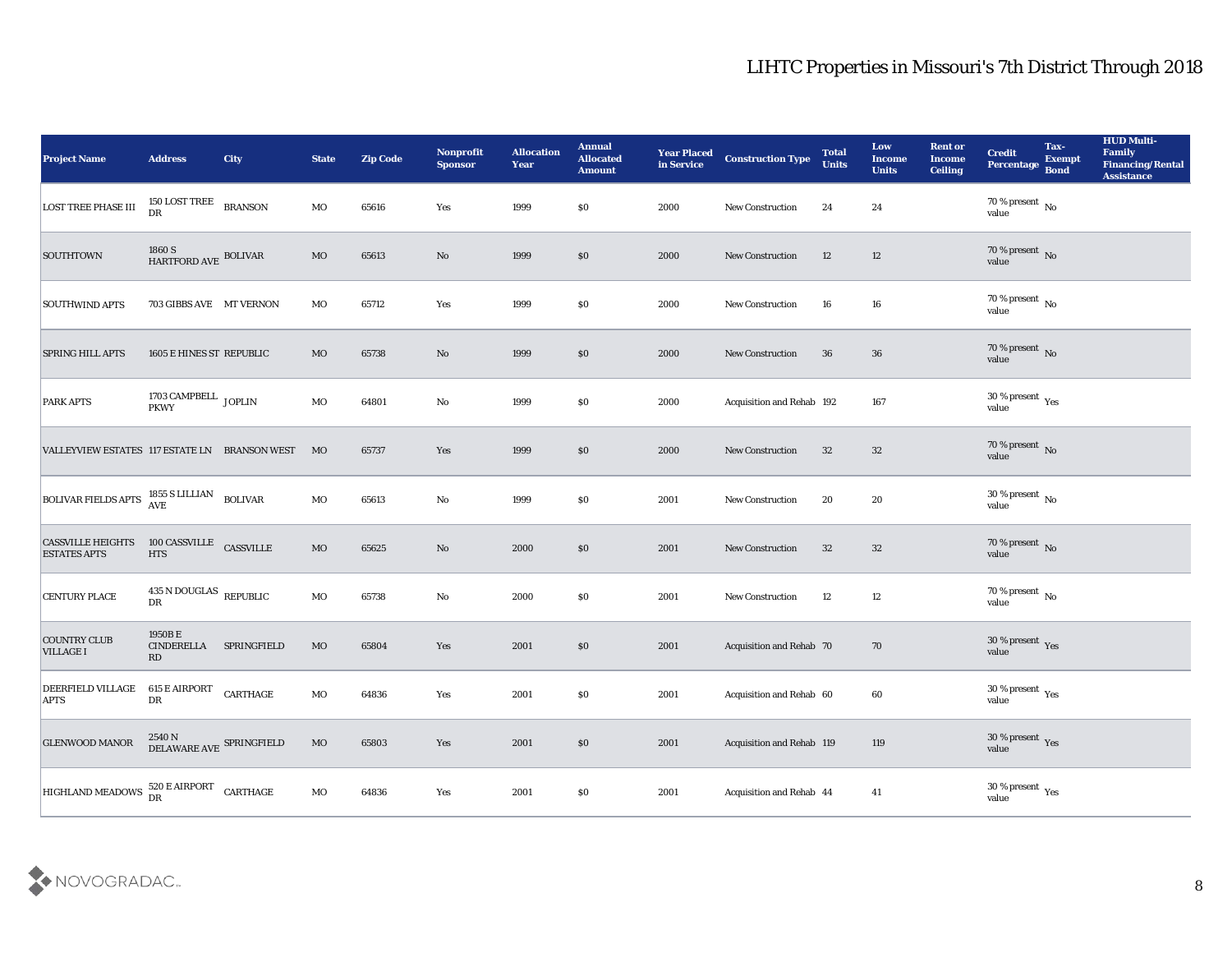| <b>Project Name</b>                               | <b>Address</b>                              | <b>City</b>    | <b>State</b> | <b>Zip Code</b> | Nonprofit<br><b>Sponsor</b> | <b>Allocation</b><br><b>Year</b> | <b>Annual</b><br><b>Allocated</b><br><b>Amount</b> | <b>Year Placed</b><br>in Service | <b>Construction Type</b>  | <b>Total</b><br><b>Units</b> | Low<br><b>Income</b><br><b>Units</b> | <b>Rent or</b><br><b>Income</b><br><b>Ceiling</b> | <b>Credit</b><br><b>Percentage</b> | Tax-<br><b>Exempt</b><br><b>Bond</b> | <b>HUD Multi-</b><br>Family<br><b>Financing/Rental</b><br><b>Assistance</b> |
|---------------------------------------------------|---------------------------------------------|----------------|--------------|-----------------|-----------------------------|----------------------------------|----------------------------------------------------|----------------------------------|---------------------------|------------------------------|--------------------------------------|---------------------------------------------------|------------------------------------|--------------------------------------|-----------------------------------------------------------------------------|
| <b>LOST TREE PHASE III</b>                        | 150 LOST TREE<br>DR                         | <b>BRANSON</b> | MO           | 65616           | Yes                         | 1999                             | \$0                                                | 2000                             | New Construction          | 24                           | 24                                   |                                                   | 70 % present No<br>value           |                                      |                                                                             |
| <b>SOUTHTOWN</b>                                  | 1860 S<br>HARTFORD AVE BOLIVAR              |                | MO           | 65613           | No                          | 1999                             | \$0                                                | 2000                             | New Construction          | 12                           | 12                                   |                                                   | $70\,\%$ present $\,$ No value     |                                      |                                                                             |
| <b>SOUTHWIND APTS</b>                             | 703 GIBBS AVE MT VERNON                     |                | MO           | 65712           | Yes                         | 1999                             | \$0                                                | 2000                             | New Construction          | 16                           | 16                                   |                                                   | $70\,\%$ present $\,$ No value     |                                      |                                                                             |
| <b>SPRING HILL APTS</b>                           | 1605 E HINES ST REPUBLIC                    |                | MO           | 65738           | No                          | 1999                             | \$0                                                | 2000                             | New Construction          | 36                           | 36                                   |                                                   | $70\,\%$ present $\,$ No value     |                                      |                                                                             |
| <b>PARK APTS</b>                                  | 1703 CAMPBELL $_{\rm\,JOPLIN}$              |                | $_{\rm MO}$  | 64801           | $\rm\thinspace No$          | 1999                             | \$0                                                | 2000                             | Acquisition and Rehab 192 |                              | 167                                  |                                                   | $30\,\%$ present $\,$ Yes value    |                                      |                                                                             |
| VALLEYVIEW ESTATES 117 ESTATE LN BRANSON WEST     |                                             |                | MO           | 65737           | Yes                         | 1999                             | \$0                                                | 2000                             | <b>New Construction</b>   | 32                           | 32                                   |                                                   | $70\,\%$ present $\,$ No value     |                                      |                                                                             |
| BOLIVAR FIELDS APTS 1855 S LILLIAN                |                                             | <b>BOLIVAR</b> | MO           | 65613           | No                          | 1999                             | \$0                                                | 2001                             | New Construction          | 20                           | 20                                   |                                                   | $30\,\%$ present $\,$ No value     |                                      |                                                                             |
| <b>CASSVILLE HEIGHTS</b><br><b>ESTATES APTS</b>   | 100 CASSVILLE<br><b>HTS</b>                 | CASSVILLE      | $_{\rm MO}$  | 65625           | No                          | 2000                             | \$0                                                | 2001                             | New Construction          | 32                           | 32                                   |                                                   | 70 % present $\,$ No $\,$<br>value |                                      |                                                                             |
| <b>CENTURY PLACE</b>                              | $435$ N DOUGLAS $\;$ REPUBLIC<br>DR         |                | MO           | 65738           | $\rm\thinspace No$          | 2000                             | \$0                                                | 2001                             | New Construction          | 12                           | 12                                   |                                                   | $70\,\%$ present $\,$ No value     |                                      |                                                                             |
| <b>COUNTRY CLUB</b><br><b>VILLAGE I</b>           | 1950BE<br><b>CINDERELLA</b><br>RD           | SPRINGFIELD    | $_{\rm MO}$  | 65804           | Yes                         | 2001                             | \$0                                                | 2001                             | Acquisition and Rehab 70  |                              | 70                                   |                                                   | $30\,\%$ present $\,$ Yes value    |                                      |                                                                             |
| <b>DEERFIELD VILLAGE</b><br><b>APTS</b>           | $615\to\mathrm{AIRPORT}$<br>DR              | CARTHAGE       | MO           | 64836           | Yes                         | 2001                             | \$0                                                | 2001                             | Acquisition and Rehab 60  |                              | 60                                   |                                                   | 30 % present $_{\rm Yes}$<br>value |                                      |                                                                             |
| <b>GLENWOOD MANOR</b>                             | $2540\,\mathrm{N}$ DELAWARE AVE SPRINGFIELD |                | $\rm MO$     | 65803           | Yes                         | 2001                             | $\$0$                                              | 2001                             | Acquisition and Rehab 119 |                              | 119                                  |                                                   | $30\,\%$ present $\,$ Yes value    |                                      |                                                                             |
| HIGHLAND MEADOWS $^{520}_{DR}$ E AIRPORT CARTHAGE |                                             |                | $\rm MO$     | 64836           | Yes                         | 2001                             | $\$0$                                              | 2001                             | Acquisition and Rehab 44  |                              | 41                                   |                                                   | $30\,\%$ present $\,$ Yes value    |                                      |                                                                             |

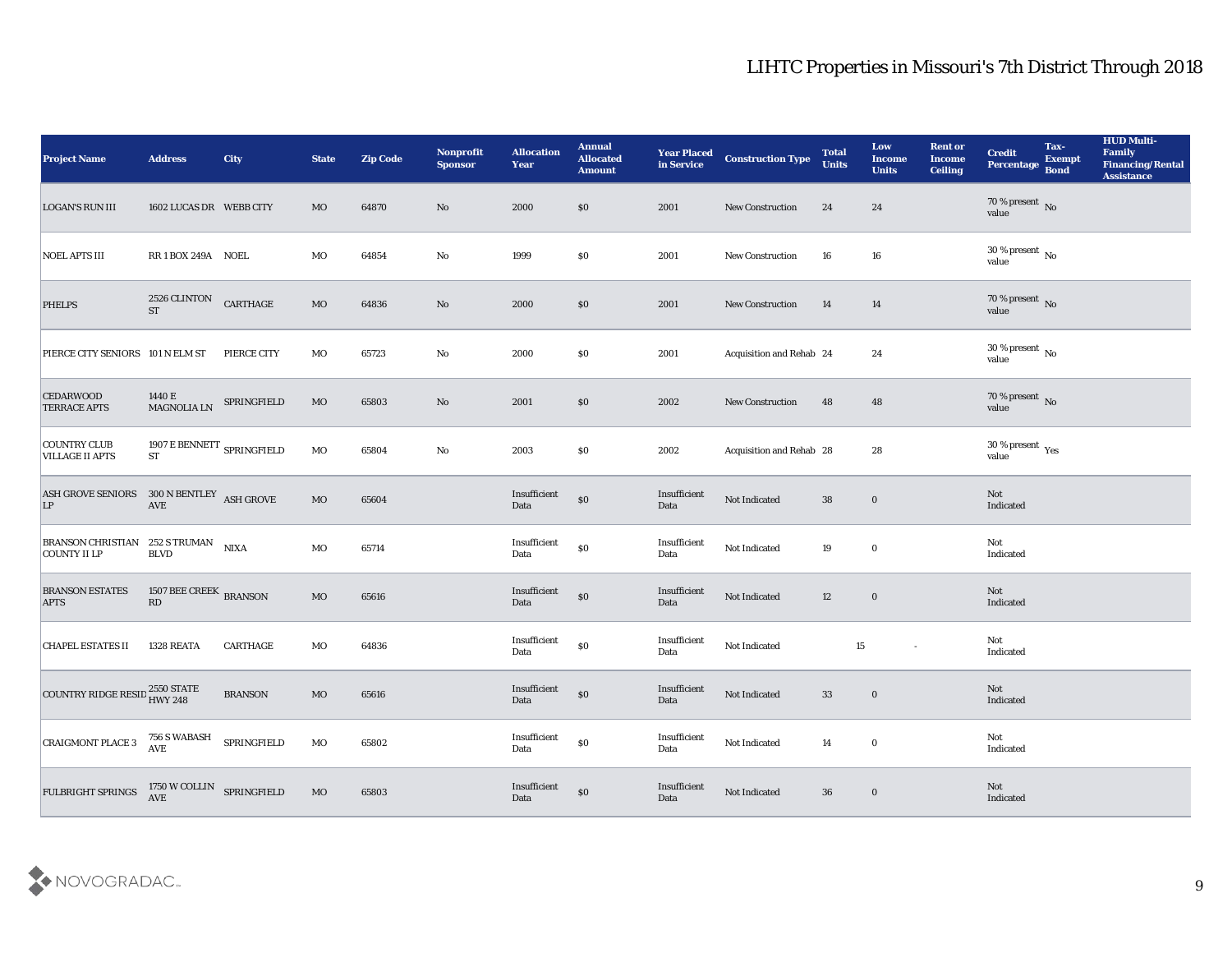| <b>Project Name</b>                                                                                            | <b>Address</b>                                                           | City            | <b>State</b> | <b>Zip Code</b> | Nonprofit<br><b>Sponsor</b> | <b>Allocation</b><br><b>Year</b>            | <b>Annual</b><br><b>Allocated</b><br><b>Amount</b> | <b>Year Placed</b><br>in Service | <b>Construction Type</b> | <b>Total</b><br><b>Units</b> | Low<br><b>Income</b><br><b>Units</b> | <b>Rent or</b><br><b>Income</b><br><b>Ceiling</b> | <b>Credit</b><br>Percentage     | Tax-<br><b>Exempt</b><br><b>Bond</b> | <b>HUD Multi-</b><br>Family<br><b>Financing/Rental</b><br><b>Assistance</b> |
|----------------------------------------------------------------------------------------------------------------|--------------------------------------------------------------------------|-----------------|--------------|-----------------|-----------------------------|---------------------------------------------|----------------------------------------------------|----------------------------------|--------------------------|------------------------------|--------------------------------------|---------------------------------------------------|---------------------------------|--------------------------------------|-----------------------------------------------------------------------------|
| <b>LOGAN'S RUN III</b>                                                                                         | 1602 LUCAS DR WEBB CITY                                                  |                 | MO           | 64870           | No                          | 2000                                        | $\$0$                                              | 2001                             | <b>New Construction</b>  | 24                           | 24                                   |                                                   | $70\,\%$ present $\,$ No value  |                                      |                                                                             |
| <b>NOEL APTS III</b>                                                                                           | RR1BOX 249A NOEL                                                         |                 | MO           | 64854           | No                          | 1999                                        | $\$0$                                              | 2001                             | New Construction         | 16                           | 16                                   |                                                   | $30\,\%$ present $\,$ No value  |                                      |                                                                             |
| <b>PHELPS</b>                                                                                                  | 2526 CLINTON<br><b>ST</b>                                                | CARTHAGE        | $_{\rm MO}$  | 64836           | No                          | 2000                                        | \$0                                                | 2001                             | <b>New Construction</b>  | 14                           | 14                                   |                                                   | $70\,\%$ present $\,$ No value  |                                      |                                                                             |
| PIERCE CITY SENIORS 101 N ELM ST                                                                               |                                                                          | PIERCE CITY     | MO           | 65723           | No                          | 2000                                        | \$0                                                | 2001                             | Acquisition and Rehab 24 |                              | 24                                   |                                                   | $30\,\%$ present $\,$ No value  |                                      |                                                                             |
| <b>CEDARWOOD</b><br><b>TERRACE APTS</b>                                                                        | 1440 E<br>MAGNOLIA LN                                                    | SPRINGFIELD     | $_{\rm MO}$  | 65803           | No                          | 2001                                        | $\$0$                                              | 2002                             | <b>New Construction</b>  | 48                           | 48                                   |                                                   | $70\,\%$ present $\,$ No value  |                                      |                                                                             |
| <b>COUNTRY CLUB</b><br><b>VILLAGE II APTS</b>                                                                  | 1907 E BENNETT $_{\mbox{\scriptsize SPRINGFIELD}}$<br>${\cal S}{\cal T}$ |                 | MO           | 65804           | $\rm\thinspace No$          | 2003                                        | \$0                                                | 2002                             | Acquisition and Rehab 28 |                              | 28                                   |                                                   | $30\,\%$ present $\,$ Yes value |                                      |                                                                             |
| ${\large\bf ASH\,GROVE\,SENIORS\quad \  300\,N\,BENTLEY\quad ASH\,GROVE\  \  \, $$ LP $\quad \qquad {\rm AVE}$ |                                                                          |                 | $_{\rm MO}$  | 65604           |                             | Insufficient<br>Data                        | $\$0$                                              | Insufficient<br>Data             | Not Indicated            | 38                           | $\bf{0}$                             |                                                   | Not<br>Indicated                |                                      |                                                                             |
| BRANSON CHRISTIAN 252 S TRUMAN<br><b>COUNTY II LP</b>                                                          | <b>BLVD</b>                                                              | <b>NIXA</b>     | MO           | 65714           |                             | Insufficient<br>Data                        | $\$0$                                              | Insufficient<br>Data             | Not Indicated            | 19                           | $\bf{0}$                             |                                                   | Not<br>Indicated                |                                      |                                                                             |
| <b>BRANSON ESTATES</b><br><b>APTS</b>                                                                          | 1507 BEE CREEK BRANSON<br>$\mathbf{R}\mathbf{D}$                         |                 | $_{\rm MO}$  | 65616           |                             | Insufficient<br>Data                        | $\$0$                                              | Insufficient<br>Data             | Not Indicated            | 12                           | $\bf{0}$                             |                                                   | Not<br>Indicated                |                                      |                                                                             |
| <b>CHAPEL ESTATES II</b>                                                                                       | 1328 REATA                                                               | <b>CARTHAGE</b> | MO           | 64836           |                             | Insufficient<br>Data                        | $\$0$                                              | Insufficient<br>Data             | Not Indicated            | 15                           | $\sim$                               |                                                   | Not<br>Indicated                |                                      |                                                                             |
| COUNTRY RIDGE RESID 2550 STATE                                                                                 |                                                                          | <b>BRANSON</b>  | MO           | 65616           |                             | Insufficient<br>Data                        | $\$0$                                              | Insufficient<br>Data             | Not Indicated            | 33                           | $\bf{0}$                             |                                                   | Not<br>Indicated                |                                      |                                                                             |
| <b>CRAIGMONT PLACE 3</b>                                                                                       | 756 S WABASH<br>SPRINGFIELD<br><b>AVE</b>                                |                 | $\rm MO$     | 65802           |                             | $\label{lem:optimal} In sufficient$<br>Data | $\boldsymbol{\mathsf{S}}\boldsymbol{\mathsf{0}}$   | $\bold{Insufficient}$<br>Data    | Not Indicated            | 14                           | $\bf{0}$                             |                                                   | Not<br>Indicated                |                                      |                                                                             |
| FULBRIGHT SPRINGS                                                                                              | $1750\ \rm{W}\, \rm{COLLIN}$ SPRINGFIELD AVE                             |                 | MO           | 65803           |                             | $\label{lem:optimal} In sufficient$<br>Data | $\$0$                                              | Insufficient<br>Data             | Not Indicated            | 36                           | $\bf{0}$                             |                                                   | Not<br>Indicated                |                                      |                                                                             |

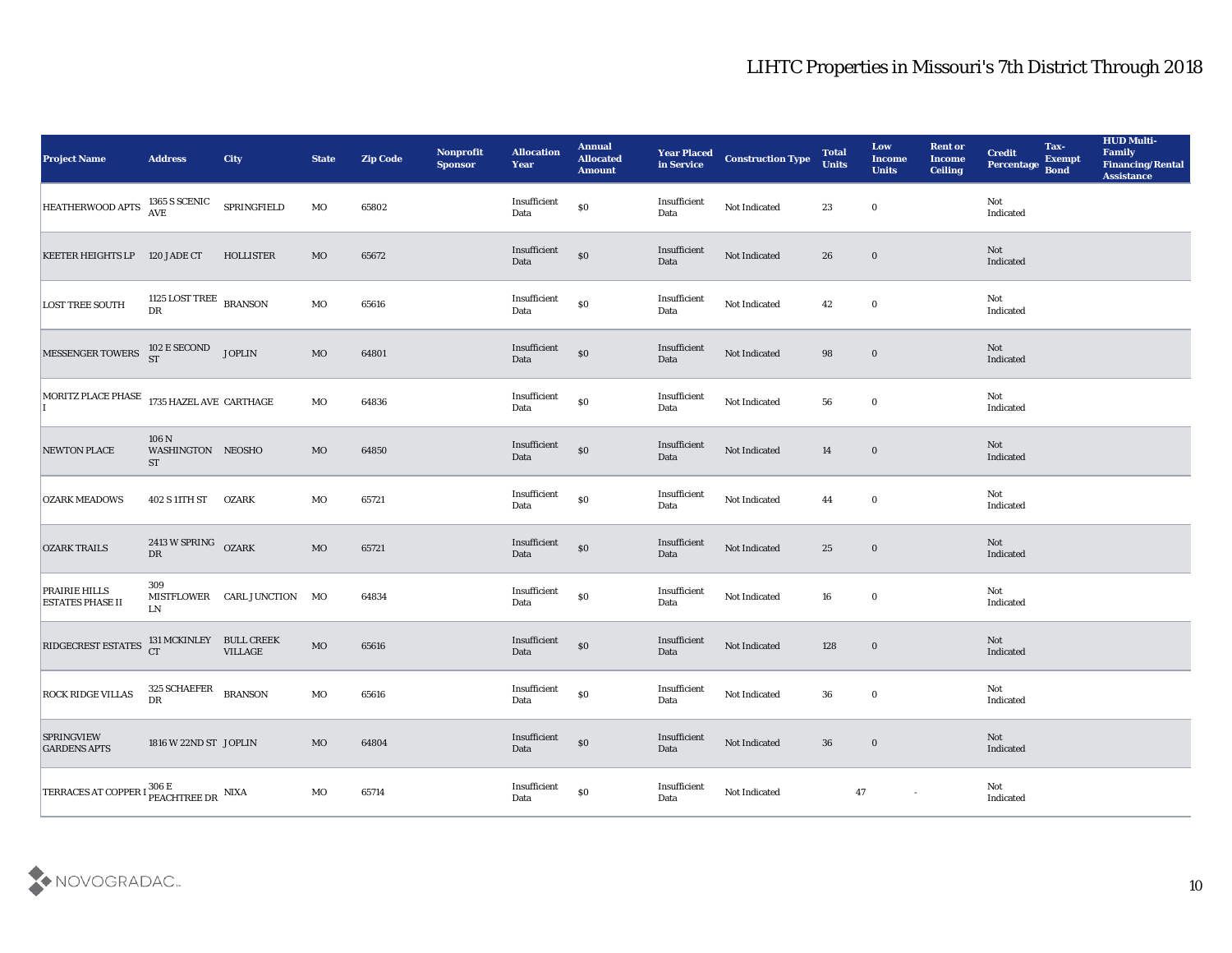| <b>Project Name</b>                             | <b>Address</b>                                     | <b>City</b>                 | <b>State</b> | <b>Zip Code</b> | Nonprofit<br><b>Sponsor</b> | <b>Allocation</b><br><b>Year</b>             | <b>Annual</b><br><b>Allocated</b><br><b>Amount</b> | <b>Year Placed<br/>in Service</b>           | <b>Construction Type</b> | <b>Total</b><br><b>Units</b> | Low<br><b>Income</b><br><b>Units</b> | <b>Rent or</b><br><b>Income</b><br><b>Ceiling</b> | <b>Credit</b><br><b>Percentage</b>    | Tax-<br><b>Exempt</b><br><b>Bond</b> | <b>HUD Multi-</b><br>Family<br><b>Financing/Rental</b><br><b>Assistance</b> |
|-------------------------------------------------|----------------------------------------------------|-----------------------------|--------------|-----------------|-----------------------------|----------------------------------------------|----------------------------------------------------|---------------------------------------------|--------------------------|------------------------------|--------------------------------------|---------------------------------------------------|---------------------------------------|--------------------------------------|-----------------------------------------------------------------------------|
| <b>HEATHERWOOD APTS</b>                         | 1365 S SCENIC<br>AVE                               | SPRINGFIELD                 | MO           | 65802           |                             | Insufficient<br>Data                         | \$0                                                | Insufficient<br>Data                        | Not Indicated            | 23                           | $\bf{0}$                             |                                                   | Not<br>Indicated                      |                                      |                                                                             |
| KEETER HEIGHTS LP 120 JADE CT                   |                                                    | <b>HOLLISTER</b>            | MO           | 65672           |                             | Insufficient<br>Data                         | $\$0$                                              | Insufficient<br>Data                        | Not Indicated            | 26                           | $\bf{0}$                             |                                                   | Not<br>Indicated                      |                                      |                                                                             |
| <b>LOST TREE SOUTH</b>                          | 1125 LOST TREE $_{\rm BRANSON}$<br>DR              |                             | MO           | 65616           |                             | Insufficient<br>Data                         | $\$0$                                              | Insufficient<br>Data                        | Not Indicated            | 42                           | $\bf{0}$                             |                                                   | Not<br>Indicated                      |                                      |                                                                             |
| MESSENGER TOWERS                                | 102 E SECOND<br>ST                                 | <b>JOPLIN</b>               | $\rm MO$     | 64801           |                             | $\label{lem:optimal} In sufficient$<br>Data  | $\boldsymbol{\mathsf{S}}\boldsymbol{\mathsf{0}}$   | Insufficient<br>Data                        | Not Indicated            | 98                           | $\bf{0}$                             |                                                   | Not<br>Indicated                      |                                      |                                                                             |
| MORITZ PLACE PHASE 1735 HAZEL AVE CARTHAGE      |                                                    |                             | MO           | 64836           |                             | Insufficient<br>Data                         | $\$0$                                              | Insufficient<br>Data                        | Not Indicated            | 56                           | $\bf{0}$                             |                                                   | Not<br>Indicated                      |                                      |                                                                             |
| <b>NEWTON PLACE</b>                             | 106 N<br>WASHINGTON NEOSHO<br><b>ST</b>            |                             | MO           | 64850           |                             | Insufficient<br>Data                         | $\$0$                                              | Insufficient<br>Data                        | Not Indicated            | 14                           | $\bf{0}$                             |                                                   | Not<br>Indicated                      |                                      |                                                                             |
| <b>OZARK MEADOWS</b>                            | 402 S 11TH ST                                      | <b>OZARK</b>                | MO           | 65721           |                             | Insufficient<br>Data                         | $\boldsymbol{\mathsf{S}}\boldsymbol{\mathsf{O}}$   | Insufficient<br>Data                        | Not Indicated            | 44                           | $\bf{0}$                             |                                                   | Not<br>Indicated                      |                                      |                                                                             |
| <b>OZARK TRAILS</b>                             | 2413 W SPRING OZARK<br><b>DR</b>                   |                             | $\rm MO$     | 65721           |                             | Insufficient<br>Data                         | $\$0$                                              | Insufficient<br>Data                        | Not Indicated            | 25                           | $\bf{0}$                             |                                                   | Not<br>Indicated                      |                                      |                                                                             |
| <b>PRAIRIE HILLS</b><br><b>ESTATES PHASE II</b> | 309<br>LN                                          | MISTFLOWER CARL JUNCTION MO |              | 64834           |                             | $\label{lem:optimal} In sufficient$<br>Data  | $\$0$                                              | Insufficient<br>Data                        | Not Indicated            | 16                           | $\bf{0}$                             |                                                   | Not<br>Indicated                      |                                      |                                                                             |
| RIDGECREST ESTATES                              | 131 MCKINLEY BULL CREEK<br>CT VILLAGE              | <b>VILLAGE</b>              | $\rm MO$     | 65616           |                             | Insufficient<br>Data                         | $\$0$                                              | Insufficient<br>Data                        | Not Indicated            | 128                          | $\boldsymbol{0}$                     |                                                   | Not<br>Indicated                      |                                      |                                                                             |
| <b>ROCK RIDGE VILLAS</b>                        | 325 SCHAEFER BRANSON<br>${\rm D}{\rm R}$           |                             | MO           | 65616           |                             | Insufficient<br>Data                         | \$0                                                | Insufficient<br>Data                        | Not Indicated            | 36                           | $\bf{0}$                             |                                                   | Not<br>Indicated                      |                                      |                                                                             |
| <b>SPRINGVIEW</b><br><b>GARDENS APTS</b>        | 1816 W 22ND ST JOPLIN                              |                             | $\rm MO$     | 64804           |                             | $\label{eq:invariant} In sufficient$<br>Data | $\boldsymbol{\mathsf{S}}\boldsymbol{\mathsf{0}}$   | $\label{lem:optimal} In sufficient$<br>Data | Not Indicated            | 36                           | $\bf{0}$                             |                                                   | $\operatorname{\bf Not}$<br>Indicated |                                      |                                                                             |
| <b>TERRACES AT COPPER</b>                       | I <sup>306 E</sup><br>PEACHTREE DR <sup>NIXA</sup> |                             | MO           | 65714           |                             | Insufficient<br>Data                         | $\$0$                                              | Insufficient<br>Data                        | Not Indicated            | $\bf 47$                     | $\sim$                               |                                                   | Not<br>Indicated                      |                                      |                                                                             |

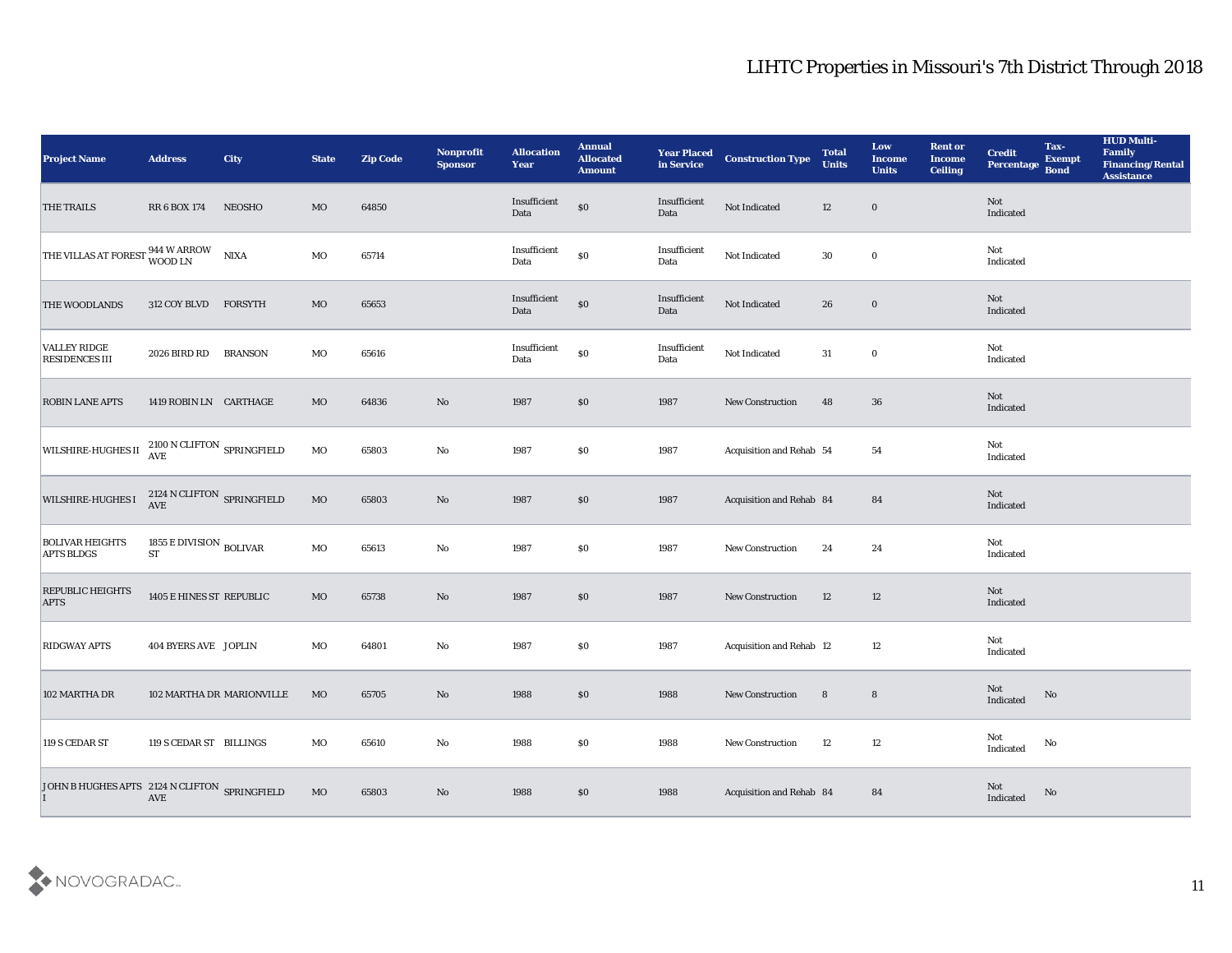| <b>Project Name</b>                                      | <b>Address</b>                                          | <b>City</b>               | <b>State</b> | <b>Zip Code</b> | Nonprofit<br><b>Sponsor</b> | <b>Allocation</b><br><b>Year</b>            | <b>Annual</b><br><b>Allocated</b><br><b>Amount</b> | <b>Year Placed</b><br>in Service | <b>Construction Type</b> | <b>Total</b><br><b>Units</b> | Low<br><b>Income</b><br><b>Units</b> | <b>Rent or</b><br><b>Income</b><br><b>Ceiling</b> | <b>Credit</b><br>Percentage       | Tax-<br><b>Exempt</b><br><b>Bond</b> | <b>HUD Multi-</b><br>Family<br><b>Financing/Rental</b><br><b>Assistance</b> |
|----------------------------------------------------------|---------------------------------------------------------|---------------------------|--------------|-----------------|-----------------------------|---------------------------------------------|----------------------------------------------------|----------------------------------|--------------------------|------------------------------|--------------------------------------|---------------------------------------------------|-----------------------------------|--------------------------------------|-----------------------------------------------------------------------------|
| THE TRAILS                                               | RR 6 BOX 174                                            | <b>NEOSHO</b>             | MO           | 64850           |                             | Insufficient<br>Data                        | $\$0$                                              | Insufficient<br>Data             | Not Indicated            | 12                           | $\bf{0}$                             |                                                   | Not<br>Indicated                  |                                      |                                                                             |
| THE VILLAS AT FOREST 944 W ARROW                         |                                                         | <b>NIXA</b>               | MO           | 65714           |                             | Insufficient<br>Data                        | $\$0$                                              | Insufficient<br>Data             | Not Indicated            | 30                           | $\bf{0}$                             |                                                   | Not<br>Indicated                  |                                      |                                                                             |
| THE WOODLANDS                                            | 312 COY BLVD                                            | FORSYTH                   | MO           | 65653           |                             | Insufficient<br>Data                        | $\$0$                                              | Insufficient<br>Data             | Not Indicated            | 26                           | $\bf{0}$                             |                                                   | Not<br>Indicated                  |                                      |                                                                             |
| <b>VALLEY RIDGE</b><br><b>RESIDENCES III</b>             | 2026 BIRD RD                                            | <b>BRANSON</b>            | MO           | 65616           |                             | $\label{lem:optimal} In sufficient$<br>Data | $\$0$                                              | Insufficient<br>Data             | Not Indicated            | 31                           | $\bf{0}$                             |                                                   | Not<br>Indicated                  |                                      |                                                                             |
| <b>ROBIN LANE APTS</b>                                   | 1419 ROBIN LN CARTHAGE                                  |                           | MO           | 64836           | $\mathbf{N}\mathbf{o}$      | 1987                                        | \$0                                                | 1987                             | <b>New Construction</b>  | 48                           | 36                                   |                                                   | Not<br>Indicated                  |                                      |                                                                             |
| WILSHIRE-HUGHES II <sup>2100</sup> N CLIFTON SPRINGFIELD |                                                         |                           | MO           | 65803           | No                          | 1987                                        | \$0                                                | 1987                             | Acquisition and Rehab 54 |                              | 54                                   |                                                   | Not<br>Indicated                  |                                      |                                                                             |
| <b>WILSHIRE-HUGHES I</b>                                 | 2124 N CLIFTON SPRINGFIELD AVE                          |                           | $_{\rm MO}$  | 65803           | No                          | 1987                                        | $\$0$                                              | 1987                             | Acquisition and Rehab 84 |                              | 84                                   |                                                   | Not<br>Indicated                  |                                      |                                                                             |
| <b>BOLIVAR HEIGHTS</b><br><b>APTS BLDGS</b>              | 1855 E DIVISION $_{\rm BOLIVAR}$<br>$\operatorname{ST}$ |                           | MO           | 65613           | $\mathbf{No}$               | 1987                                        | \$0                                                | 1987                             | <b>New Construction</b>  | 24                           | 24                                   |                                                   | Not<br>Indicated                  |                                      |                                                                             |
| REPUBLIC HEIGHTS<br><b>APTS</b>                          | 1405 E HINES ST REPUBLIC                                |                           | $_{\rm MO}$  | 65738           | $\mathbf{N}\mathbf{o}$      | 1987                                        | \$0                                                | 1987                             | New Construction         | 12                           | 12                                   |                                                   | Not<br>Indicated                  |                                      |                                                                             |
| <b>RIDGWAY APTS</b>                                      | <b>404 BYERS AVE JOPLIN</b>                             |                           | MO           | 64801           | No                          | 1987                                        | $\$0$                                              | 1987                             | Acquisition and Rehab 12 |                              | 12                                   |                                                   | Not<br>Indicated                  |                                      |                                                                             |
| 102 MARTHA DR                                            |                                                         | 102 MARTHA DR MARIONVILLE | MO           | 65705           | No                          | 1988                                        | \$0                                                | 1988                             | <b>New Construction</b>  | 8                            | $8\phantom{1}$                       |                                                   | Not<br>Indicated                  | No                                   |                                                                             |
| 119 S CEDAR ST                                           | 119 S CEDAR ST BILLINGS                                 |                           | $_{\rm MO}$  | 65610           | $\mathbf {No}$              | 1988                                        | $\$0$                                              | 1988                             | New Construction         | 12                           | 12                                   |                                                   | Not<br>$\operatorname{Indicated}$ | $\mathbf {No}$                       |                                                                             |
| JOHN B HUGHES APTS 2124 N CLIFTON SPRINGFIELD            | AVE                                                     |                           | MO           | 65803           | $\mathbf {No}$              | 1988                                        | $\$0$                                              | 1988                             | Acquisition and Rehab 84 |                              | 84                                   |                                                   | Not<br>Indicated                  | No                                   |                                                                             |

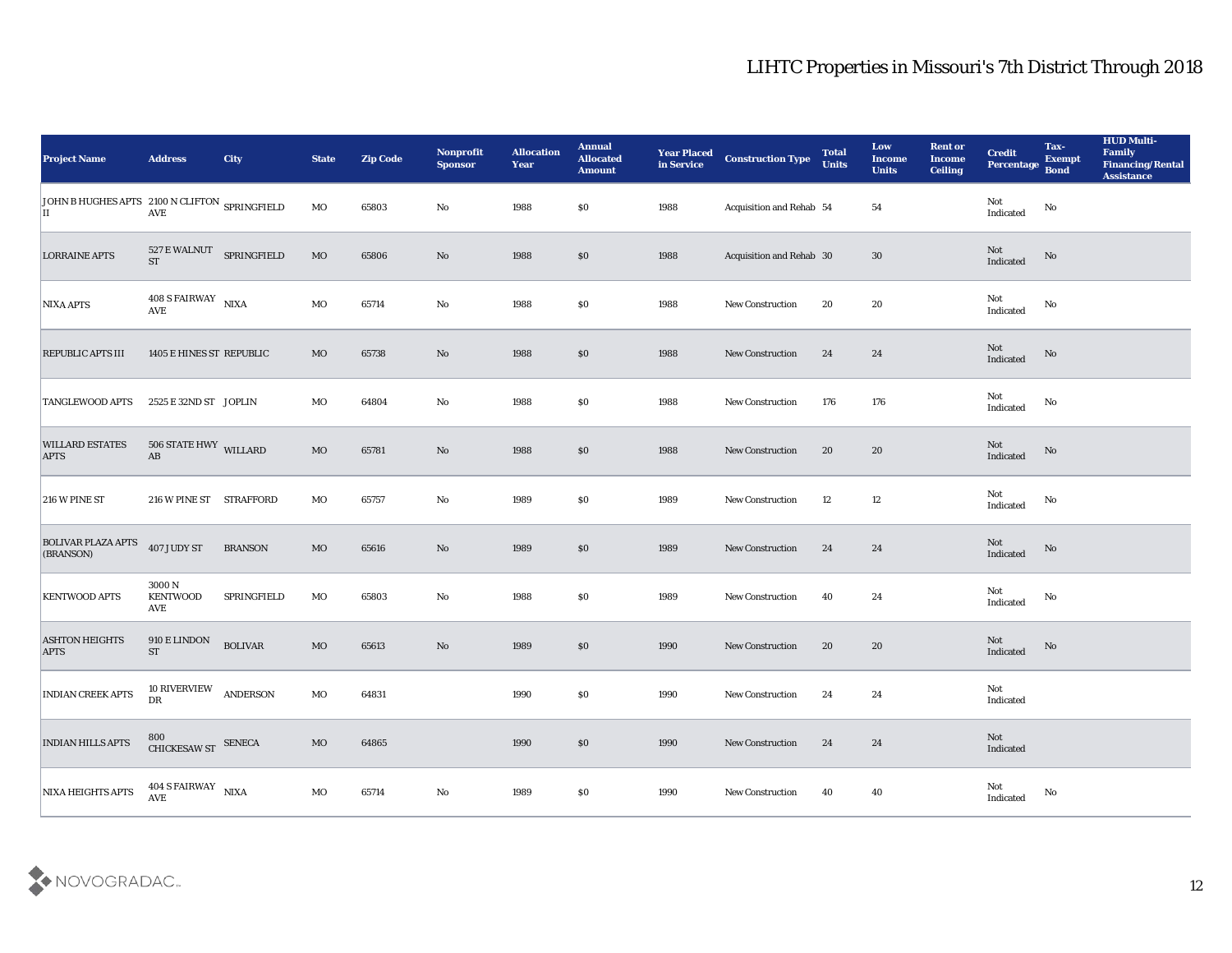| <b>Project Name</b>                                 | <b>Address</b>                                                                                         | <b>City</b>     | <b>State</b> | <b>Zip Code</b> | Nonprofit<br><b>Sponsor</b> | <b>Allocation</b><br><b>Year</b> | <b>Annual</b><br><b>Allocated</b><br><b>Amount</b> | <b>Year Placed</b><br>in Service | <b>Construction Type</b> | <b>Total</b><br><b>Units</b> | Low<br><b>Income</b><br><b>Units</b> | <b>Rent or</b><br><b>Income</b><br><b>Ceiling</b> | <b>Credit</b><br><b>Percentage</b>    | Tax-<br><b>Exempt</b><br><b>Bond</b> | <b>HUD Multi-</b><br>Family<br><b>Financing/Rental</b><br><b>Assistance</b> |
|-----------------------------------------------------|--------------------------------------------------------------------------------------------------------|-----------------|--------------|-----------------|-----------------------------|----------------------------------|----------------------------------------------------|----------------------------------|--------------------------|------------------------------|--------------------------------------|---------------------------------------------------|---------------------------------------|--------------------------------------|-----------------------------------------------------------------------------|
| JOHN B HUGHES APTS 2100 N CLIFTON SPRINGFIELD<br>IІ | $\operatorname{AVE}$                                                                                   |                 | MO           | 65803           | No                          | 1988                             | $\$0$                                              | 1988                             | Acquisition and Rehab 54 |                              | 54                                   |                                                   | Not<br>Indicated                      | $\rm\thinspace No$                   |                                                                             |
| <b>LORRAINE APTS</b>                                | 527 E WALNUT SPRINGFIELD<br><b>ST</b>                                                                  |                 | $_{\rm MO}$  | 65806           | No                          | 1988                             | $\$0$                                              | 1988                             | Acquisition and Rehab 30 |                              | 30                                   |                                                   | Not<br>Indicated                      | No                                   |                                                                             |
| <b>NIXA APTS</b>                                    | 408 S FAIRWAY NIXA<br>$\mathbf{A}\mathbf{V}\mathbf{E}$                                                 |                 | MO           | 65714           | $\mathbf{No}$               | 1988                             | \$0                                                | 1988                             | New Construction         | 20                           | 20                                   |                                                   | Not<br>Indicated                      | No                                   |                                                                             |
| <b>REPUBLIC APTS III</b>                            | 1405 E HINES ST REPUBLIC                                                                               |                 | <b>MO</b>    | 65738           | No                          | 1988                             | \$0                                                | 1988                             | New Construction         | 24                           | 24                                   |                                                   | Not<br>Indicated                      | $\rm No$                             |                                                                             |
| <b>TANGLEWOOD APTS</b>                              | 2525 E 32ND ST JOPLIN                                                                                  |                 | MO           | 64804           | No                          | 1988                             | \$0                                                | 1988                             | New Construction         | 176                          | 176                                  |                                                   | Not<br>Indicated                      | No                                   |                                                                             |
| <b>WILLARD ESTATES</b><br><b>APTS</b>               | $506$ STATE HWY $_{\rm WILLARD}$<br>$\mathbf{A}\mathbf{B}$                                             |                 | <b>MO</b>    | 65781           | No                          | 1988                             | $\$0$                                              | 1988                             | <b>New Construction</b>  | 20                           | 20                                   |                                                   | Not<br>Indicated                      | No                                   |                                                                             |
| 216 W PINE ST                                       | 216 W PINE ST STRAFFORD                                                                                |                 | MO           | 65757           | No                          | 1989                             | \$0                                                | 1989                             | New Construction         | 12                           | 12                                   |                                                   | Not<br>Indicated                      | No                                   |                                                                             |
| <b>BOLIVAR PLAZA APTS</b><br>(BRANSON)              | 407 JUDY ST                                                                                            | <b>BRANSON</b>  | <b>MO</b>    | 65616           | No                          | 1989                             | \$0                                                | 1989                             | <b>New Construction</b>  | 24                           | 24                                   |                                                   | Not<br>Indicated                      | No                                   |                                                                             |
| <b>KENTWOOD APTS</b>                                | 3000N<br><b>KENTWOOD</b><br>AVE                                                                        | SPRINGFIELD     | MO           | 65803           | No                          | 1988                             | \$0                                                | 1989                             | <b>New Construction</b>  | 40                           | 24                                   |                                                   | Not<br>Indicated                      | No                                   |                                                                             |
| <b>ASHTON HEIGHTS</b><br><b>APTS</b>                | 910 E LINDON<br><b>ST</b>                                                                              | <b>BOLIVAR</b>  | $_{\rm MO}$  | 65613           | No                          | 1989                             | \$0                                                | 1990                             | <b>New Construction</b>  | 20                           | 20                                   |                                                   | Not<br>Indicated                      | No                                   |                                                                             |
| <b>INDIAN CREEK APTS</b>                            | 10 RIVERVIEW<br>${\rm D}{\rm R}$                                                                       | <b>ANDERSON</b> | MO           | 64831           |                             | 1990                             | $\$0$                                              | 1990                             | <b>New Construction</b>  | 24                           | 24                                   |                                                   | Not<br>Indicated                      |                                      |                                                                             |
| <b>INDIAN HILLS APTS</b>                            | $\begin{array}{ll} 800 \\ \text{CHICKESAW ST} \end{array} \begin{array}{ll} \text{SENECA} \end{array}$ |                 | $\rm MO$     | 64865           |                             | 1990                             | $\boldsymbol{\mathsf{S}}\boldsymbol{\mathsf{O}}$   | 1990                             | New Construction         | 24                           | 24                                   |                                                   | $\operatorname{\bf Not}$<br>Indicated |                                      |                                                                             |
| NIXA HEIGHTS APTS                                   | $404$ S FAIRWAY $$\rm NIXA$$                                                                           |                 | $_{\rm MO}$  | 65714           | $\mathbf {No}$              | 1989                             | $\$0$                                              | 1990                             | New Construction         | 40                           | 40                                   |                                                   | Not<br>Indicated                      | $\rm No$                             |                                                                             |

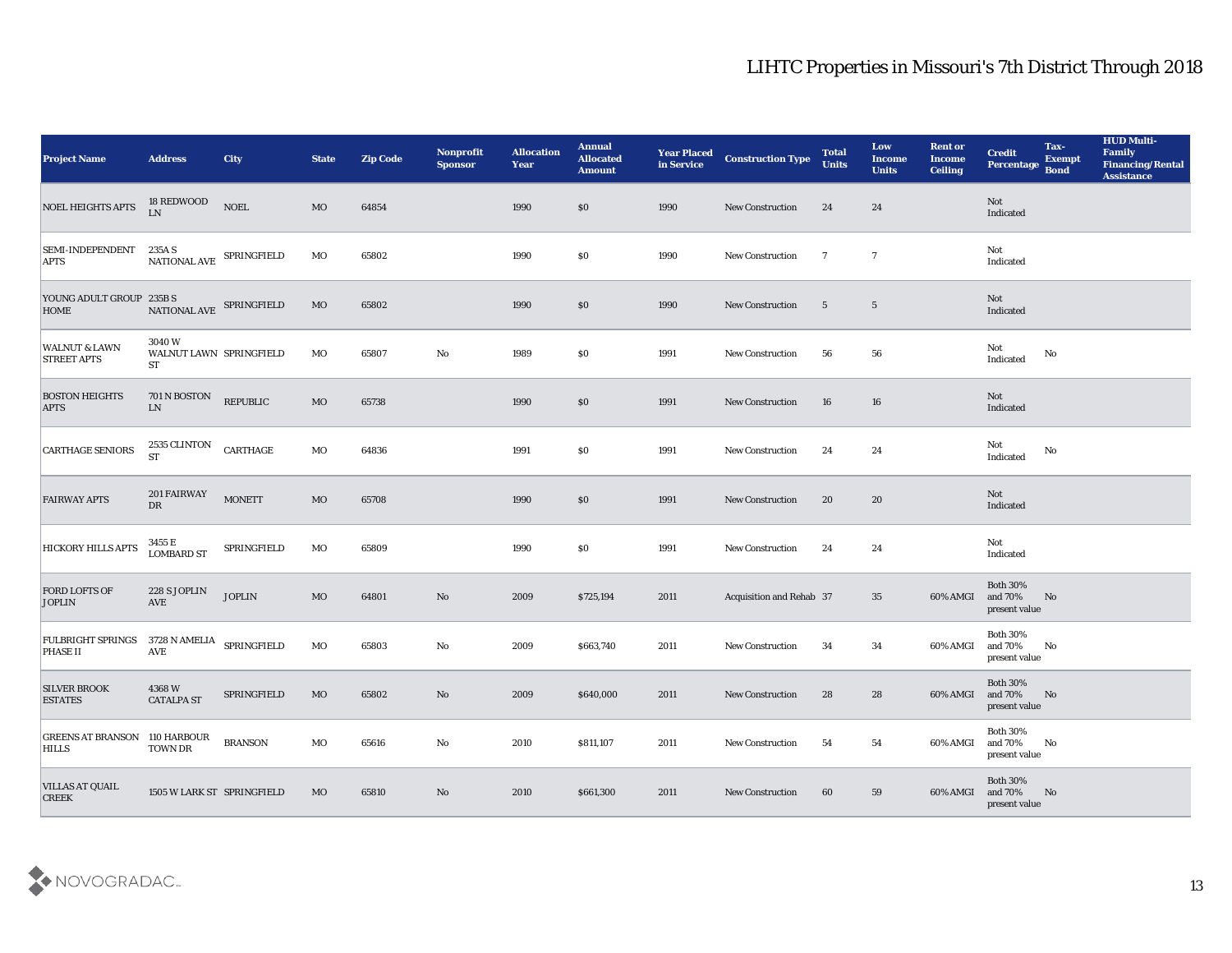| <b>Project Name</b>                                                                                                                              | <b>Address</b>                             | <b>City</b>              | <b>State</b> | <b>Zip Code</b> | Nonprofit<br><b>Sponsor</b> | <b>Allocation</b><br><b>Year</b> | <b>Annual</b><br><b>Allocated</b><br><b>Amount</b> | <b>Year Placed</b><br>in Service | <b>Construction Type</b> | <b>Total</b><br><b>Units</b> | Low<br><b>Income</b><br><b>Units</b> | <b>Rent or</b><br><b>Income</b><br><b>Ceiling</b> | <b>Credit</b><br>Percentage Bond            | Tax-<br><b>Exempt</b> | <b>HUD Multi-</b><br>Family<br><b>Financing/Rental</b><br><b>Assistance</b> |
|--------------------------------------------------------------------------------------------------------------------------------------------------|--------------------------------------------|--------------------------|--------------|-----------------|-----------------------------|----------------------------------|----------------------------------------------------|----------------------------------|--------------------------|------------------------------|--------------------------------------|---------------------------------------------------|---------------------------------------------|-----------------------|-----------------------------------------------------------------------------|
| <b>NOEL HEIGHTS APTS</b>                                                                                                                         | 18 REDWOOD<br>LN                           | <b>NOEL</b>              | MO           | 64854           |                             | 1990                             | $\$0$                                              | 1990                             | New Construction         | 24                           | 24                                   |                                                   | Not<br>Indicated                            |                       |                                                                             |
| SEMI-INDEPENDENT<br><b>APTS</b>                                                                                                                  | 235A S                                     | NATIONAL AVE SPRINGFIELD | MO           | 65802           |                             | 1990                             | $\$0$                                              | 1990                             | <b>New Construction</b>  | $\overline{7}$               | $\overline{7}$                       |                                                   | Not<br>Indicated                            |                       |                                                                             |
| $\begin{tabular}{ll} \textbf{YOUNG ADULT GROUP} & \textbf{235B S} \\ \textbf{HOME} & \textbf{NATIONAL AVE} & \textbf{SPRINGFIELD} \end{tabular}$ |                                            |                          | MO           | 65802           |                             | 1990                             | \$0\$                                              | 1990                             | New Construction         | $5\phantom{.0}$              | $\overline{5}$                       |                                                   | Not<br>Indicated                            |                       |                                                                             |
| <b>WALNUT &amp; LAWN</b><br><b>STREET APTS</b>                                                                                                   | 3040 W<br>WALNUT LAWN SPRINGFIELD<br>ST    |                          | MO           | 65807           | $\rm\thinspace No$          | 1989                             | \$0\$                                              | 1991                             | New Construction         | 56                           | 56                                   |                                                   | Not<br>$\operatorname{Indicated}$           | No                    |                                                                             |
| <b>BOSTON HEIGHTS</b><br><b>APTS</b>                                                                                                             | 701 N BOSTON<br>${\rm LN}$                 | REPUBLIC                 | MO           | 65738           |                             | 1990                             | \$0\$                                              | 1991                             | <b>New Construction</b>  | 16                           | 16                                   |                                                   | Not<br>Indicated                            |                       |                                                                             |
| <b>CARTHAGE SENIORS</b>                                                                                                                          | $2535$ CLINTON $\,$<br><b>ST</b>           | CARTHAGE                 | MO           | 64836           |                             | 1991                             | $\$0$                                              | 1991                             | <b>New Construction</b>  | 24                           | 24                                   |                                                   | Not<br>Indicated                            | No                    |                                                                             |
| <b>FAIRWAY APTS</b>                                                                                                                              | 201 FAIRWAY<br><b>DR</b>                   | <b>MONETT</b>            | MO           | 65708           |                             | 1990                             | \$0\$                                              | 1991                             | <b>New Construction</b>  | 20                           | 20                                   |                                                   | Not<br>Indicated                            |                       |                                                                             |
| <b>HICKORY HILLS APTS</b>                                                                                                                        | 3455 E<br><b>LOMBARD ST</b>                | SPRINGFIELD              | MO           | 65809           |                             | 1990                             | \$0                                                | 1991                             | New Construction         | 24                           | 24                                   |                                                   | Not<br>Indicated                            |                       |                                                                             |
| <b>FORD LOFTS OF</b><br><b>JOPLIN</b>                                                                                                            | 228 S JOPLIN<br>AVE                        | <b>JOPLIN</b>            | MO           | 64801           | No                          | 2009                             | \$725,194                                          | 2011                             | Acquisition and Rehab 37 |                              | 35                                   | 60% AMGI                                          | <b>Both 30%</b><br>and 70%<br>present value | No                    |                                                                             |
| <b>FULBRIGHT SPRINGS</b><br><b>PHASE II</b>                                                                                                      | $3728$ N AMELIA $\quad$ SPRINGFIELD<br>AVE |                          | MO           | 65803           | No                          | 2009                             | \$663,740                                          | 2011                             | <b>New Construction</b>  | 34                           | 34                                   | 60% AMGI                                          | <b>Both 30%</b><br>and 70%<br>present value | No                    |                                                                             |
| <b>SILVER BROOK</b><br><b>ESTATES</b>                                                                                                            | 4368W<br><b>CATALPA ST</b>                 | SPRINGFIELD              | MO           | 65802           | No                          | 2009                             | \$640,000                                          | 2011                             | <b>New Construction</b>  | 28                           | 28                                   | 60% AMGI and 70%                                  | <b>Both 30%</b><br>present value            | N <sub>0</sub>        |                                                                             |
| <b>GREENS AT BRANSON 110 HARBOUR</b><br><b>HILLS</b>                                                                                             | TOWN DR                                    | <b>BRANSON</b>           | MO           | 65616           | $\rm\thinspace No$          | 2010                             | \$811,107                                          | 2011                             | New Construction         | 54                           | 54                                   | 60% AMGI                                          | <b>Both 30%</b><br>and 70%<br>present value | No                    |                                                                             |
| <b>VILLAS AT QUAIL</b><br><b>CREEK</b>                                                                                                           | 1505 W LARK ST SPRINGFIELD                 |                          | MO           | 65810           | $\mathbf{N}\mathbf{o}$      | 2010                             | \$661,300                                          | 2011                             | New Construction         | 60                           | 59                                   | 60% AMGI                                          | <b>Both 30%</b><br>and 70%<br>present value | N <sub>0</sub>        |                                                                             |

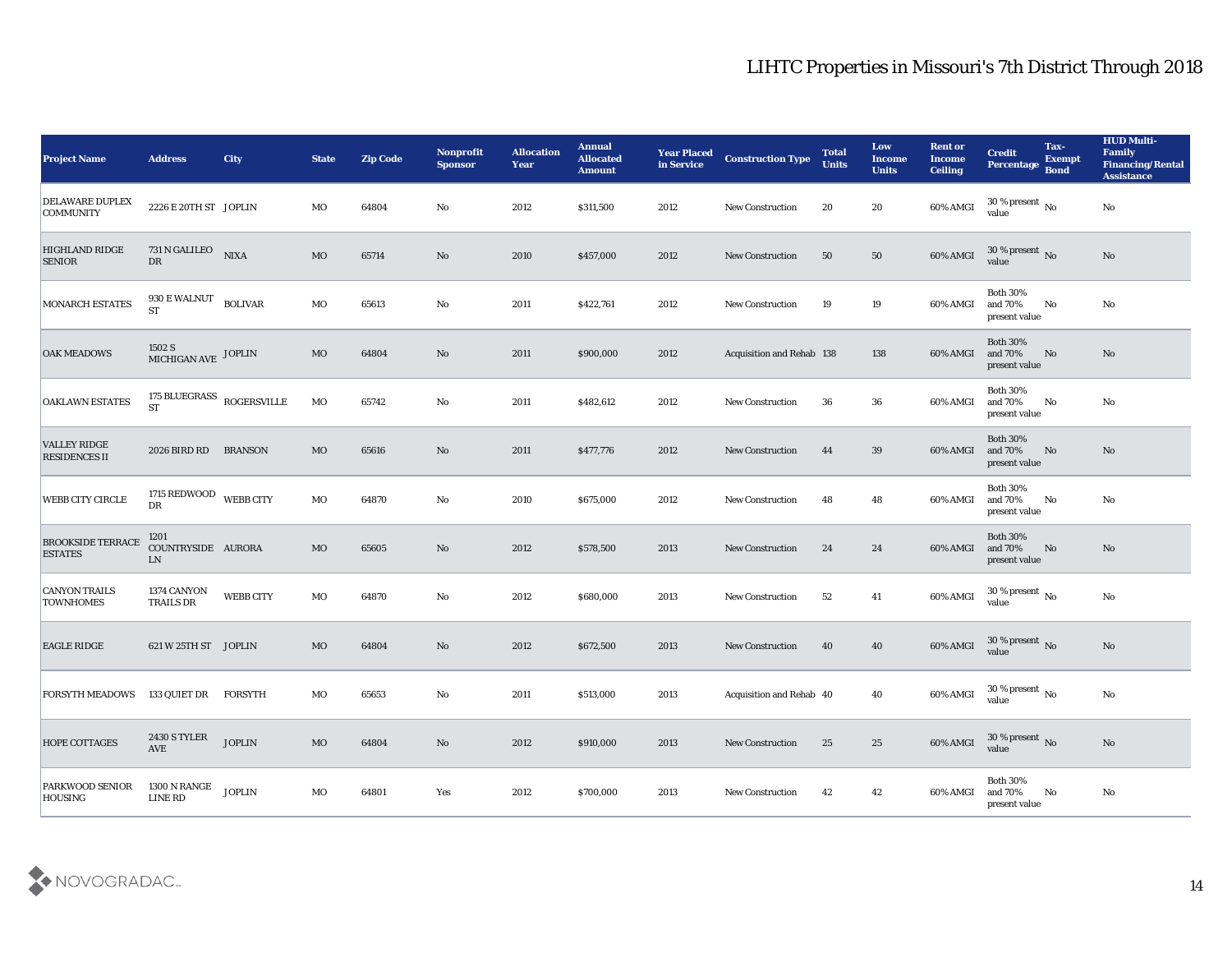| <b>Project Name</b>                         | <b>Address</b>                                | <b>City</b>                         | <b>State</b> | <b>Zip Code</b> | Nonprofit<br><b>Sponsor</b> | <b>Allocation</b><br><b>Year</b> | <b>Annual</b><br><b>Allocated</b><br><b>Amount</b> | <b>Year Placed</b><br>in Service | <b>Construction Type</b>  | <b>Total</b><br><b>Units</b> | Low<br><b>Income</b><br><b>Units</b> | <b>Rent or</b><br><b>Income</b><br><b>Ceiling</b> | <b>Credit</b><br>Percentage Bond            | Tax-<br><b>Exempt</b>  | <b>HUD Multi-</b><br>Family<br><b>Financing/Rental</b><br><b>Assistance</b> |
|---------------------------------------------|-----------------------------------------------|-------------------------------------|--------------|-----------------|-----------------------------|----------------------------------|----------------------------------------------------|----------------------------------|---------------------------|------------------------------|--------------------------------------|---------------------------------------------------|---------------------------------------------|------------------------|-----------------------------------------------------------------------------|
| DELAWARE DUPLEX<br><b>COMMUNITY</b>         | 2226 E 20TH ST JOPLIN                         |                                     | MO           | 64804           | No                          | 2012                             | \$311,500                                          | 2012                             | <b>New Construction</b>   | 20                           | 20                                   | 60% AMGI                                          | 30 % present $\,$ No $\,$<br>value          |                        | $\mathbf{N}\mathbf{o}$                                                      |
| <b>HIGHLAND RIDGE</b><br><b>SENIOR</b>      | 731 N GALILEO<br>DR                           | <b>NIXA</b>                         | MO           | 65714           | No                          | 2010                             | \$457,000                                          | 2012                             | <b>New Construction</b>   | 50                           | 50                                   | 60% AMGI                                          | $30\,\%$ present $\,$ No value              |                        | No                                                                          |
| <b>MONARCH ESTATES</b>                      | 930 E WALNUT<br><b>ST</b>                     | <b>BOLIVAR</b>                      | MO           | 65613           | No                          | 2011                             | \$422,761                                          | 2012                             | <b>New Construction</b>   | 19                           | 19                                   | 60% AMGI                                          | <b>Both 30%</b><br>and 70%<br>present value | No                     | No                                                                          |
| <b>OAK MEADOWS</b>                          | $1502$ S $$\tt MICHIGAN\ AVE$$ $$\tt JOPLIN$$ |                                     | $_{\rm MO}$  | 64804           | No                          | 2011                             | \$900,000                                          | 2012                             | Acquisition and Rehab 138 |                              | 138                                  | 60% AMGI                                          | <b>Both 30%</b><br>and 70%<br>present value | No                     | No                                                                          |
| <b>OAKLAWN ESTATES</b>                      | <b>ST</b>                                     | 175 BLUEGRASS $_{\rm{ROGERSVILLE}}$ | MO           | 65742           | No                          | 2011                             | \$482,612                                          | 2012                             | New Construction          | 36                           | 36                                   | 60% AMGI                                          | <b>Both 30%</b><br>and 70%<br>present value | No                     | No                                                                          |
| <b>VALLEY RIDGE</b><br><b>RESIDENCES II</b> | 2026 BIRD RD BRANSON                          |                                     | MO           | 65616           | No                          | 2011                             | \$477,776                                          | 2012                             | <b>New Construction</b>   | 44                           | 39                                   | 60% AMGI                                          | <b>Both 30%</b><br>and 70%<br>present value | No                     | No                                                                          |
| <b>WEBB CITY CIRCLE</b>                     | 1715 REDWOOD WEBB CITY<br>DR                  |                                     | MO           | 64870           | No                          | 2010                             | \$675,000                                          | 2012                             | <b>New Construction</b>   | 48                           | 48                                   | 60% AMGI                                          | <b>Both 30%</b><br>and 70%<br>present value | No                     | No                                                                          |
| <b>BROOKSIDE TERRACE</b><br><b>ESTATES</b>  | 1201<br>COUNTRYSIDE AURORA<br>${\rm LN}$      |                                     | <b>MO</b>    | 65605           | No                          | 2012                             | \$578,500                                          | 2013                             | <b>New Construction</b>   | 24                           | 24                                   | 60% AMGI                                          | <b>Both 30%</b><br>and 70%<br>present value | No                     | No                                                                          |
| <b>CANYON TRAILS</b><br><b>TOWNHOMES</b>    | 1374 CANYON<br><b>TRAILS DR</b>               | WEBB CITY                           | MO           | 64870           | No                          | 2012                             | \$680,000                                          | 2013                             | <b>New Construction</b>   | 52                           | 41                                   | 60% AMGI                                          | $30\,\%$ present $\,$ No value              |                        | $\rm\thinspace No$                                                          |
| <b>EAGLE RIDGE</b>                          | 621 W 25TH ST JOPLIN                          |                                     | MO           | 64804           | No                          | 2012                             | \$672,500                                          | 2013                             | <b>New Construction</b>   | 40                           | 40                                   | 60% AMGI                                          | $30\,\%$ present $\,$ No value              |                        | No                                                                          |
| FORSYTH MEADOWS 133 QUIET DR FORSYTH        |                                               |                                     | MO           | 65653           | No                          | 2011                             | \$513,000                                          | 2013                             | Acquisition and Rehab 40  |                              | 40                                   | 60% AMGI                                          | 30 % present $\,$ No $\,$<br>value          |                        | $\mathbf{N}\mathbf{o}$                                                      |
| <b>HOPE COTTAGES</b>                        | <b>2430 S TYLER</b><br>AVE                    | <b>JOPLIN</b>                       | $_{\rm MO}$  | 64804           | $\mathbf {No}$              | 2012                             | \$910,000                                          | 2013                             | New Construction          | 25                           | 25                                   | 60% AMGI                                          | $30\,\%$ present $\,$ No value              |                        | No                                                                          |
| <b>PARKWOOD SENIOR</b><br><b>HOUSING</b>    | 1300 N RANGE<br>LINE RD                       | <b>JOPLIN</b>                       | $_{\rm MO}$  | 64801           | $\mathbf{Yes}$              | 2012                             | \$700,000                                          | 2013                             | New Construction          | 42                           | 42                                   | 60% AMGI                                          | <b>Both 30%</b><br>and 70%<br>present value | $\mathbf{N}\mathbf{o}$ | $\mathbf {No}$                                                              |

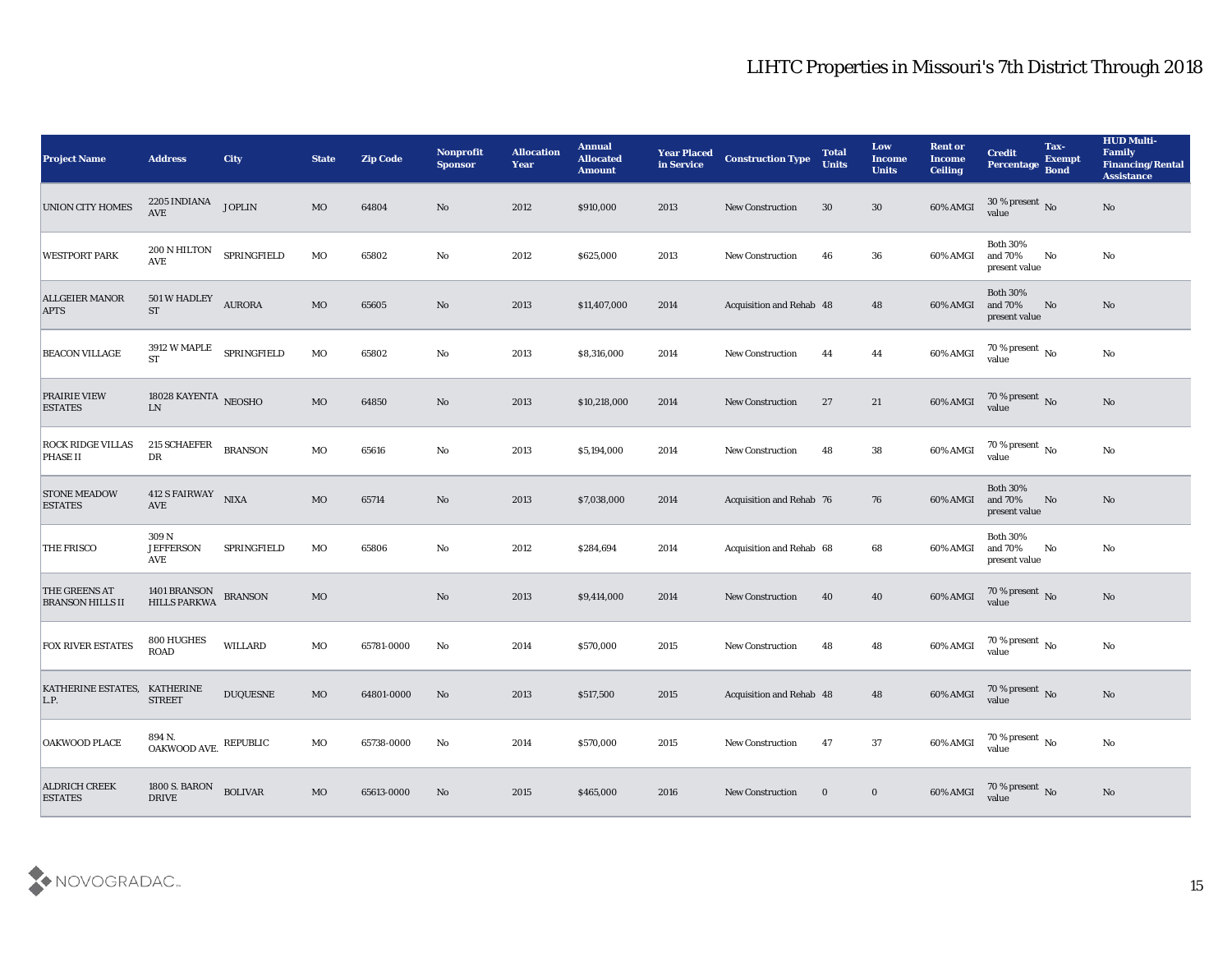| <b>Project Name</b>                         | <b>Address</b>                                                                                                         | City            | <b>State</b> | <b>Zip Code</b> | Nonprofit<br><b>Sponsor</b> | <b>Allocation</b><br><b>Year</b> | <b>Annual</b><br><b>Allocated</b><br><b>Amount</b> | <b>Year Placed</b><br>in Service | <b>Construction Type</b>        | <b>Total</b><br><b>Units</b> | Low<br><b>Income</b><br><b>Units</b> | <b>Rent or</b><br><b>Income</b><br><b>Ceiling</b> | <b>Credit</b><br>Percentage Bond            | Tax-<br><b>Exempt</b> | <b>HUD Multi-</b><br>Family<br><b>Financing/Rental</b><br><b>Assistance</b> |
|---------------------------------------------|------------------------------------------------------------------------------------------------------------------------|-----------------|--------------|-----------------|-----------------------------|----------------------------------|----------------------------------------------------|----------------------------------|---------------------------------|------------------------------|--------------------------------------|---------------------------------------------------|---------------------------------------------|-----------------------|-----------------------------------------------------------------------------|
| <b>UNION CITY HOMES</b>                     | 2205 INDIANA<br>$\operatorname{AVE}$                                                                                   | <b>JOPLIN</b>   | MO           | 64804           | No                          | 2012                             | \$910,000                                          | 2013                             | <b>New Construction</b>         | 30                           | 30                                   | 60% AMGI                                          | $30\,\%$ present $\,$ No value              |                       | No                                                                          |
| <b>WESTPORT PARK</b>                        | 200 N HILTON<br><b>AVE</b>                                                                                             | SPRINGFIELD     | MO           | 65802           | No                          | 2012                             | \$625,000                                          | 2013                             | <b>New Construction</b>         | 46                           | 36                                   | 60% AMGI                                          | <b>Both 30%</b><br>and 70%<br>present value | No                    | No                                                                          |
| <b>ALLGEIER MANOR</b><br><b>APTS</b>        | 501 W HADLEY<br><b>ST</b>                                                                                              | <b>AURORA</b>   | $_{\rm MO}$  | 65605           | No                          | 2013                             | \$11,407,000                                       | 2014                             | Acquisition and Rehab 48        |                              | 48                                   | 60% AMGI                                          | <b>Both 30%</b><br>and 70%<br>present value | No                    | No                                                                          |
| <b>BEACON VILLAGE</b>                       | 3912 W MAPLE<br><b>ST</b>                                                                                              | SPRINGFIELD     | $_{\rm MO}$  | 65802           | $\rm\thinspace No$          | 2013                             | \$8,316,000                                        | 2014                             | New Construction                | 44                           | 44                                   | 60% AMGI                                          | $70\,\%$ present $\,$ No value              |                       | No                                                                          |
| <b>PRAIRIE VIEW</b><br><b>ESTATES</b>       | 18028 KAYENTA NEOSHO<br>${\rm LN}$                                                                                     |                 | MO           | 64850           | No                          | 2013                             | \$10,218,000                                       | 2014                             | <b>New Construction</b>         | 27                           | 21                                   | 60% AMGI                                          | $70\,\%$ present $\,$ No value              |                       | No                                                                          |
| <b>ROCK RIDGE VILLAS</b><br><b>PHASE II</b> | 215 SCHAEFER<br>${\rm D}{\rm R}$                                                                                       | <b>BRANSON</b>  | MO           | 65616           | $\rm\thinspace No$          | 2013                             | \$5,194,000                                        | 2014                             | <b>New Construction</b>         | 48                           | 38                                   | 60% AMGI                                          | $70$ % present $\,$ No value                |                       | $\mathbf{N}\mathbf{o}$                                                      |
| <b>STONE MEADOW</b><br><b>ESTATES</b>       | 412 S FAIRWAY NIXA<br>AVE                                                                                              |                 | MO           | 65714           | No                          | 2013                             | \$7,038,000                                        | 2014                             | Acquisition and Rehab 76        |                              | 76                                   | 60% AMGI                                          | <b>Both 30%</b><br>and 70%<br>present value | No                    | No                                                                          |
| THE FRISCO                                  | 309 N<br><b>JEFFERSON</b><br>AVE                                                                                       | SPRINGFIELD     | MO           | 65806           | No                          | 2012                             | \$284,694                                          | 2014                             | Acquisition and Rehab 68        |                              | 68                                   | 60% AMGI                                          | <b>Both 30%</b><br>and 70%<br>present value | No                    | No                                                                          |
| THE GREENS AT<br><b>BRANSON HILLS II</b>    | 1401 BRANSON<br><b>HILLS PARKWA</b>                                                                                    | <b>BRANSON</b>  | MO           |                 | $\rm\thinspace No$          | 2013                             | \$9,414,000                                        | 2014                             | <b>New Construction</b>         | 40                           | 40                                   | 60% AMGI                                          | $70$ % present $_{\rm{No}}$                 |                       | No                                                                          |
| <b>FOX RIVER ESTATES</b>                    | 800 HUGHES<br><b>ROAD</b>                                                                                              | <b>WILLARD</b>  | MO           | 65781-0000      | No                          | 2014                             | \$570,000                                          | 2015                             | <b>New Construction</b>         | 48                           | 48                                   | 60% AMGI                                          | $70$ % present $\,$ No $\,$ value           |                       | $\mathbf{N}\mathbf{o}$                                                      |
| KATHERINE ESTATES, KATHERINE<br>L.P.        | <b>STREET</b>                                                                                                          | <b>DUQUESNE</b> | MO           | 64801-0000      | No                          | 2013                             | \$517,500                                          | 2015                             | <b>Acquisition and Rehab 48</b> |                              | 48                                   | 60% AMGI                                          | 70 % present No<br>value                    |                       | No                                                                          |
| OAKWOOD PLACE                               | 894 N.<br>$\begin{array}{ll} \multicolumn{3}{l}{{\bf{0.4KWOOD\;AVE}}} & \multicolumn{2}{l}{\bf{REPUBLIC}} \end{array}$ |                 | MO           | 65738-0000      | $\mathbf{N}\mathbf{o}$      | 2014                             | \$570,000                                          | 2015                             | <b>New Construction</b>         | 47                           | 37                                   | 60% AMGI                                          | $70\,\%$ present $\,$ No value              |                       | $\mathbf{N}\mathbf{o}$                                                      |
| <b>ALDRICH CREEK</b><br><b>ESTATES</b>      | 1800 S. BARON<br><b>DRIVE</b>                                                                                          | <b>BOLIVAR</b>  | $_{\rm MO}$  | 65613-0000      | No                          | 2015                             | \$465,000                                          | 2016                             | <b>New Construction</b>         | $\bf{0}$                     | $\bf{0}$                             | 60% AMGI                                          | $70\,\%$ present $\,$ No value              |                       | $\rm \bf No$                                                                |

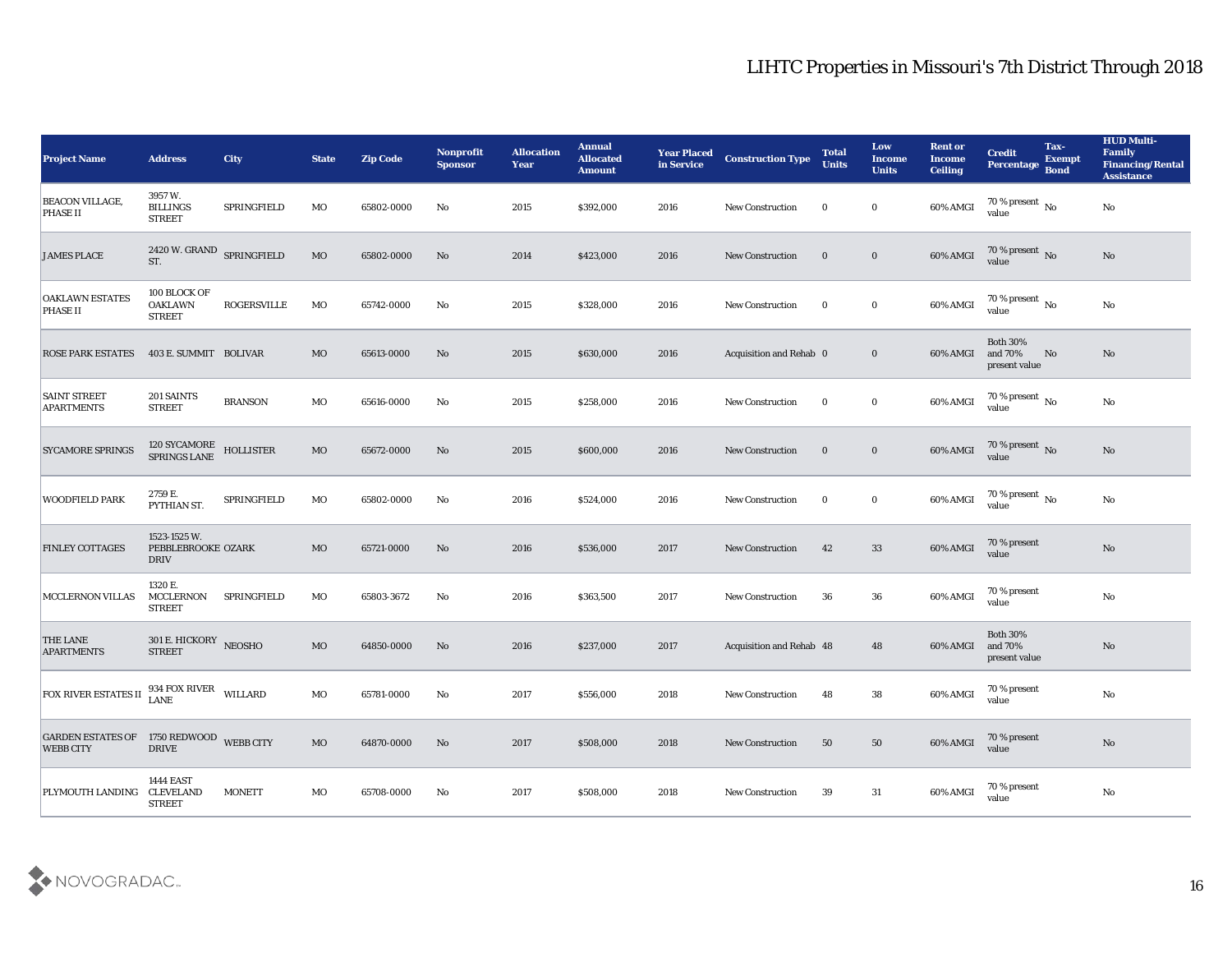| <b>Project Name</b>                                          | <b>Address</b>                                        | <b>City</b>        | <b>State</b> | <b>Zip Code</b> | Nonprofit<br><b>Sponsor</b> | <b>Allocation</b><br><b>Year</b> | <b>Annual</b><br><b>Allocated</b><br><b>Amount</b> | <b>Year Placed</b><br>in Service | <b>Construction Type</b> | <b>Total</b><br><b>Units</b> | Low<br><b>Income</b><br><b>Units</b> | <b>Rent or</b><br><b>Income</b><br><b>Ceiling</b> | <b>Credit</b><br>Percentage                 | Tax-<br><b>Exempt</b><br><b>Bond</b> | <b>HUD Multi-</b><br>Family<br><b>Financing/Rental</b><br><b>Assistance</b> |
|--------------------------------------------------------------|-------------------------------------------------------|--------------------|--------------|-----------------|-----------------------------|----------------------------------|----------------------------------------------------|----------------------------------|--------------------------|------------------------------|--------------------------------------|---------------------------------------------------|---------------------------------------------|--------------------------------------|-----------------------------------------------------------------------------|
| <b>BEACON VILLAGE,</b><br><b>PHASE II</b>                    | 3957 W.<br><b>BILLINGS</b><br><b>STREET</b>           | SPRINGFIELD        | MO           | 65802-0000      | No                          | 2015                             | \$392,000                                          | 2016                             | <b>New Construction</b>  | $\bf{0}$                     | $\bf{0}$                             | 60% AMGI                                          | 70 % present $\,$ No $\,$<br>value          |                                      | No                                                                          |
| <b>JAMES PLACE</b>                                           | 2420 W. GRAND SPRINGFIELD<br>ST.                      |                    | MO           | 65802-0000      | No                          | 2014                             | \$423,000                                          | 2016                             | <b>New Construction</b>  | $\bf{0}$                     | $\bf{0}$                             | 60% AMGI                                          | $70\,\%$ present $\,$ No value              |                                      | No                                                                          |
| <b>OAKLAWN ESTATES</b><br><b>PHASE II</b>                    | 100 BLOCK OF<br><b>OAKLAWN</b><br><b>STREET</b>       | <b>ROGERSVILLE</b> | MO           | 65742-0000      | No                          | 2015                             | \$328,000                                          | 2016                             | <b>New Construction</b>  | $\bf{0}$                     | $\bf{0}$                             | 60% AMGI                                          | 70 % present $\,$ No $\,$<br>value          |                                      | No                                                                          |
| <b>ROSE PARK ESTATES</b>                                     | 403 E. SUMMIT BOLIVAR                                 |                    | <b>MO</b>    | 65613-0000      | No                          | 2015                             | \$630,000                                          | 2016                             | Acquisition and Rehab 0  |                              | $\bf{0}$                             | 60% AMGI                                          | <b>Both 30%</b><br>and 70%<br>present value | No                                   | No                                                                          |
| <b>SAINT STREET</b><br><b>APARTMENTS</b>                     | 201 SAINTS<br><b>STREET</b>                           | <b>BRANSON</b>     | MO           | 65616-0000      | No                          | 2015                             | \$258,000                                          | 2016                             | <b>New Construction</b>  | $\bf{0}$                     | $\bf{0}$                             | 60% AMGI                                          | 70 % present $\,$ No $\,$<br>value          |                                      | No                                                                          |
| <b>SYCAMORE SPRINGS</b>                                      | 120 SYCAMORE<br>SPRINGS LANE                          | <b>HOLLISTER</b>   | <b>MO</b>    | 65672-0000      | No                          | 2015                             | \$600,000                                          | 2016                             | <b>New Construction</b>  | $\bf{0}$                     | $\bf{0}$                             | 60% AMGI                                          | $70$ % present $\,$ No value                |                                      | No                                                                          |
| <b>WOODFIELD PARK</b>                                        | 2759 E.<br>PYTHIAN ST.                                | SPRINGFIELD        | MO           | 65802-0000      | No                          | 2016                             | \$524,000                                          | 2016                             | <b>New Construction</b>  | $\bf{0}$                     | $\bf{0}$                             | 60% AMGI                                          | $70\,\%$ present $\,$ No value              |                                      | No                                                                          |
| <b>FINLEY COTTAGES</b>                                       | 1523-1525 W.<br>PEBBLEBROOKE OZARK<br><b>DRIV</b>     |                    | MO           | 65721-0000      | No                          | 2016                             | \$536,000                                          | 2017                             | <b>New Construction</b>  | 42                           | 33                                   | 60% AMGI                                          | 70 % present<br>value                       |                                      | No                                                                          |
| <b>MCCLERNON VILLAS</b>                                      | 1320 E.<br><b>MCCLERNON</b><br><b>STREET</b>          | SPRINGFIELD        | MO           | 65803-3672      | No                          | 2016                             | \$363,500                                          | 2017                             | <b>New Construction</b>  | 36                           | 36                                   | 60% AMGI                                          | 70 % present<br>value                       |                                      | No                                                                          |
| <b>THE LANE</b><br><b>APARTMENTS</b>                         | 301 E. HICKORY<br><b>STREET</b>                       | <b>NEOSHO</b>      | MO           | 64850-0000      | No                          | 2016                             | \$237,000                                          | 2017                             | Acquisition and Rehab 48 |                              | 48                                   | 60% AMGI                                          | <b>Both 30%</b><br>and 70%<br>present value |                                      | No                                                                          |
| <b>FOX RIVER ESTATES II</b>                                  | 934 FOX RIVER WILLARD<br><b>LANE</b>                  |                    | MO           | 65781-0000      | No                          | 2017                             | \$556,000                                          | 2018                             | <b>New Construction</b>  | 48                           | 38                                   | 60% AMGI                                          | 70 % present<br>value                       |                                      | No                                                                          |
| GARDEN ESTATES OF 1750 REDWOOD WEBB CITY<br><b>WEBB CITY</b> | <b>DRIVE</b>                                          |                    | MO           | 64870-0000      | No                          | 2017                             | \$508,000                                          | 2018                             | <b>New Construction</b>  | 50                           | 50                                   | 60% AMGI                                          | 70 % present<br>value                       |                                      | $\rm\thinspace No$                                                          |
| <b>PLYMOUTH LANDING</b>                                      | <b>1444 EAST</b><br><b>CLEVELAND</b><br><b>STREET</b> | <b>MONETT</b>      | MO           | 65708-0000      | No                          | 2017                             | \$508,000                                          | 2018                             | New Construction         | 39                           | 31                                   | 60% AMGI                                          | 70 % present<br>value                       |                                      | $\mathbf {No}$                                                              |